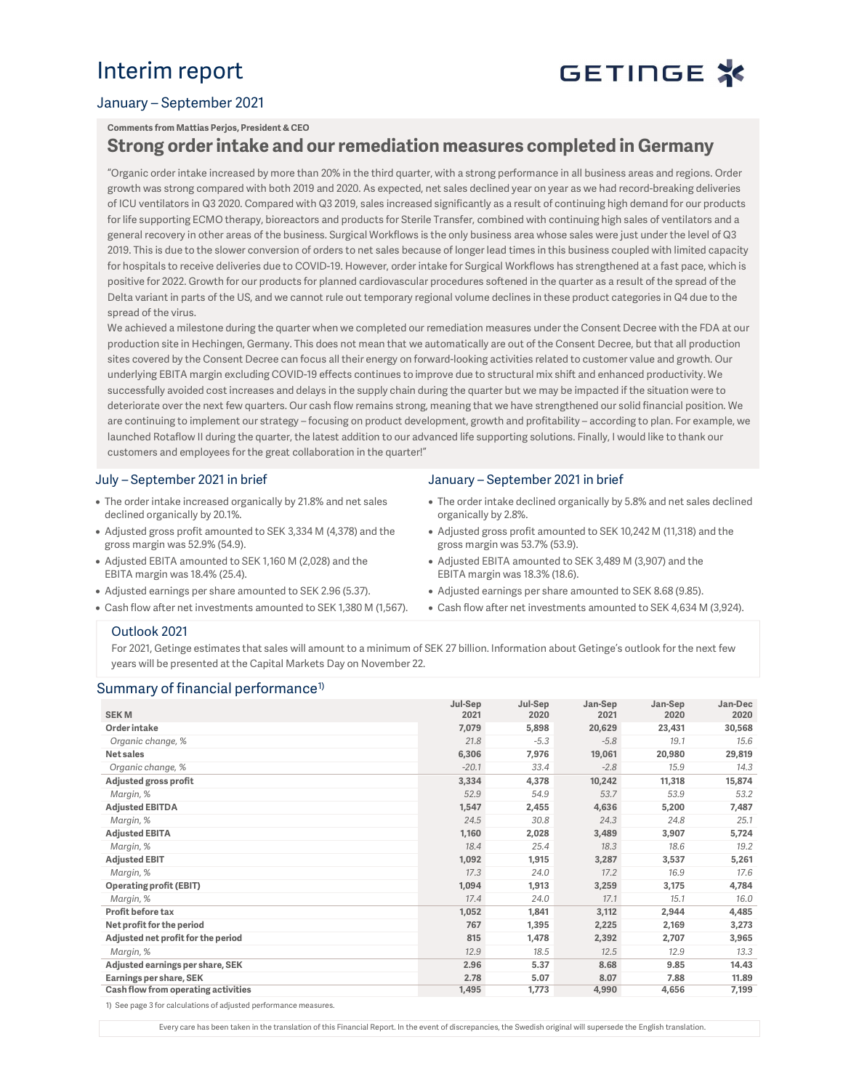## Interim report



#### January – September 2021

#### Comments from Mattias Perjos, President & CEO

### Strong order intake and our remediation measures completed in Germany

"Organic order intake increased by more than 20% in the third quarter, with a strong performance in all business areas and regions. Order growth was strong compared with both 2019 and 2020. As expected, net sales declined year on year as we had record-breaking deliveries of ICU ventilators in Q3 2020. Compared with Q3 2019, sales increased significantly as a result of continuing high demand for our products for life supporting ECMO therapy, bioreactors and products for Sterile Transfer, combined with continuing high sales of ventilators and a general recovery in other areas of the business. Surgical Workflows is the only business area whose sales were just under the level of Q3 2019. This is due to the slower conversion of orders to net sales because of longer lead times in this business coupled with limited capacity for hospitals to receive deliveries due to COVID-19. However, order intake for Surgical Workflows has strengthened at a fast pace, which is positive for 2022. Growth for our products for planned cardiovascular procedures softened in the quarter as a result of the spread of the Delta variant in parts of the US, and we cannot rule out temporary regional volume declines in these product categories in Q4 due to the spread of the virus.

We achieved a milestone during the quarter when we completed our remediation measures under the Consent Decree with the FDA at our production site in Hechingen, Germany. This does not mean that we automatically are out of the Consent Decree, but that all production sites covered by the Consent Decree can focus all their energy on forward-looking activities related to customer value and growth. Our underlying EBITA margin excluding COVID-19 effects continues to improve due to structural mix shift and enhanced productivity. We successfully avoided cost increases and delays in the supply chain during the quarter but we may be impacted if the situation were to deteriorate over the next few quarters. Our cash flow remains strong, meaning that we have strengthened our solid financial position. We are continuing to implement our strategy – focusing on product development, growth and profitability – according to plan. For example, we launched Rotaflow II during the quarter, the latest addition to our advanced life supporting solutions. Finally, I would like to thank our customers and employees for the great collaboration in the quarter!"

#### July – September 2021 in brief

- The order intake increased organically by 21.8% and net sales declined organically by 20.1%.
- Adjusted gross profit amounted to SEK 3,334 M (4,378) and the gross margin was 52.9% (54.9).
- Adjusted EBITA amounted to SEK 1,160 M (2,028) and the EBITA margin was 18.4% (25.4).
- Adjusted earnings per share amounted to SEK 2.96 (5.37).
- Cash flow after net investments amounted to SEK 1,380 M (1,567).

#### January – September 2021 in brief

- The order intake declined organically by 5.8% and net sales declined organically by 2.8%.
- Adjusted gross profit amounted to SEK 10,242 M (11,318) and the gross margin was 53.7% (53.9).
- Adjusted EBITA amounted to SEK 3,489 M (3,907) and the EBITA margin was 18.3% (18.6).
- Adjusted earnings per share amounted to SEK 8.68 (9.85).
- Cash flow after net investments amounted to SEK 4,634 M (3,924).

#### Outlook 2021

For 2021, Getinge estimates that sales will amount to a minimum of SEK 27 billion. Information about Getinge's outlook for the next few years will be presented at the Capital Markets Day on November 22.

#### Summary of financial performance<sup>1)</sup>

| <b>SEKM</b>                         | Jul-Sep<br>2021 | Jul-Sep<br>2020 | Jan-Sep<br>2021 | Jan-Sep<br>2020 | Jan-Dec<br>2020 |
|-------------------------------------|-----------------|-----------------|-----------------|-----------------|-----------------|
| Order intake                        | 7,079           | 5,898           | 20,629          | 23,431          | 30,568          |
| Organic change, %                   | 21.8            | $-5.3$          | $-5.8$          | 19.1            | 15.6            |
| Net sales                           | 6,306           | 7,976           | 19,061          | 20,980          | 29,819          |
| Organic change, %                   | $-20.1$         | 33.4            | $-2.8$          | 15.9            | 14.3            |
| Adjusted gross profit               | 3,334           | 4,378           | 10,242          | 11,318          | 15,874          |
| Margin, %                           | 52.9            | 54.9            | 53.7            | 53.9            | 53.2            |
| <b>Adjusted EBITDA</b>              | 1,547           | 2,455           | 4,636           | 5,200           | 7,487           |
| Margin, %                           | 24.5            | 30.8            | 24.3            | 24.8            | 25.1            |
| <b>Adjusted EBITA</b>               | 1,160           | 2,028           | 3,489           | 3,907           | 5,724           |
| Margin, %                           | 18.4            | 25.4            | 18.3            | 18.6            | 19.2            |
| <b>Adjusted EBIT</b>                | 1,092           | 1,915           | 3,287           | 3,537           | 5,261           |
| Margin, %                           | 17.3            | 24.0            | 17.2            | 16.9            | 17.6            |
| <b>Operating profit (EBIT)</b>      | 1,094           | 1,913           | 3,259           | 3,175           | 4,784           |
| Margin, %                           | 17.4            | 24.0            | 17.1            | 15.1            | 16.0            |
| Profit before tax                   | 1,052           | 1,841           | 3,112           | 2,944           | 4,485           |
| Net profit for the period           | 767             | 1,395           | 2,225           | 2,169           | 3,273           |
| Adjusted net profit for the period  | 815             | 1,478           | 2,392           | 2,707           | 3,965           |
| Margin, %                           | 12.9            | 18.5            | 12.5            | 12.9            | 13.3            |
| Adjusted earnings per share, SEK    | 2.96            | 5.37            | 8.68            | 9.85            | 14.43           |
| Earnings per share, SEK             | 2.78            | 5.07            | 8.07            | 7.88            | 11.89           |
| Cash flow from operating activities | 1,495           | 1,773           | 4,990           | 4,656           | 7,199           |

1) See page 3 for calculations of adjusted performance measures.

Every care has been taken in the translation of this Financial Report. In the event of discrepancies, the Swedish original will supersede the English translation.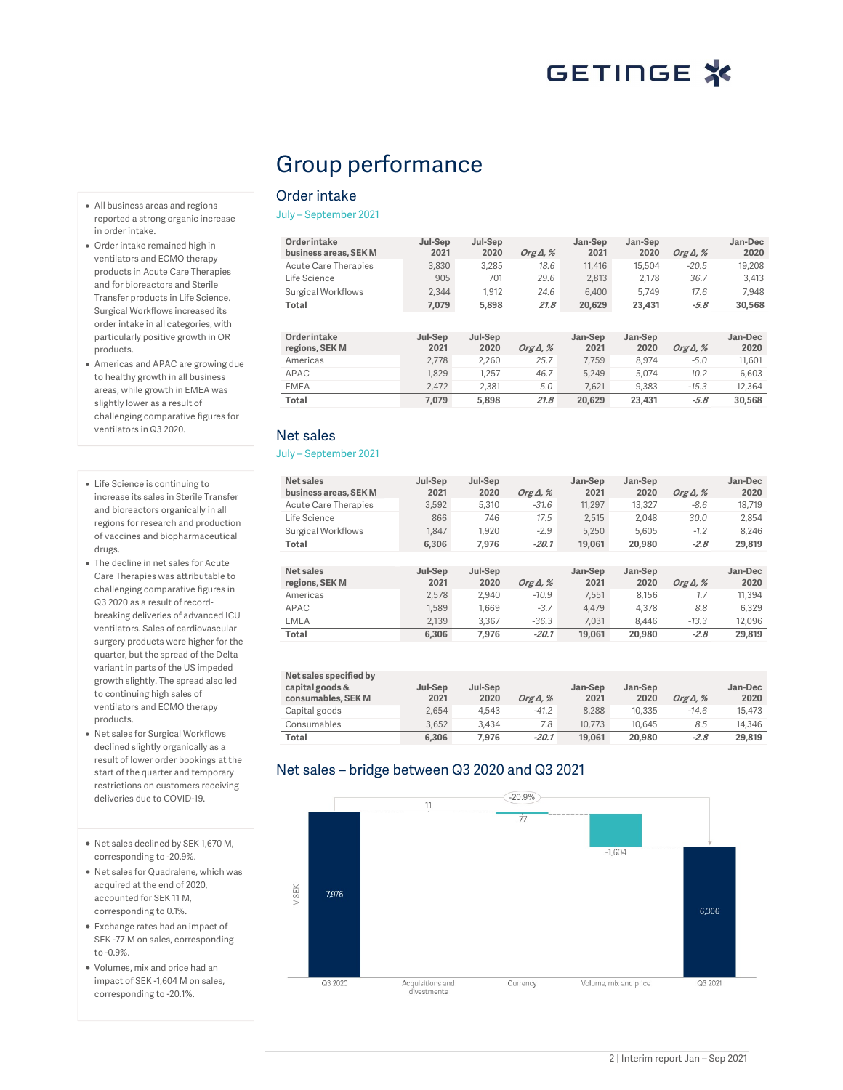## Group performance

#### Order intake

July – September 2021

| Jul-Sep<br>2021 | Jul-Sep<br>2020 | Org $\Delta$ , % | Jan-Sep<br>2021 | Jan-Sep<br>2020 | Org $\Delta$ , % | Jan-Dec<br>2020 |
|-----------------|-----------------|------------------|-----------------|-----------------|------------------|-----------------|
| 3.830           | 3.285           | 18.6             | 11.416          | 15,504          | $-20.5$          | 19,208          |
| 905             | 701             | 29.6             | 2.813           | 2.178           | 36.7             | 3.413           |
| 2.344           | 1.912           | 24.6             | 6,400           | 5.749           | 17.6             | 7.948           |
| 7.079           | 5.898           | 21.8             | 20.629          | 23.431          | $-5.8$           | 30.568          |
|                 |                 |                  |                 |                 |                  |                 |
|                 |                 |                  |                 | .<br>.          |                  |                 |

| <b>Order intake</b> | Jul-Sep | Jul-Sep |                  | Jan-Sep | Jan-Sep |                  | Jan-Dec |
|---------------------|---------|---------|------------------|---------|---------|------------------|---------|
| regions, SEK M      | 2021    | 2020    | Org $\Delta$ , % | 2021    | 2020    | Org $\Delta$ , % | 2020    |
| Americas            | 2.778   | 2.260   | 25.7             | 7.759   | 8.974   | $-5.0$           | 11,601  |
| APAC                | 1.829   | 1.257   | 46.7             | 5.249   | 5.074   | 10.2             | 6.603   |
| <b>EMEA</b>         | 2.472   | 2.381   | 5.0              | 7.621   | 9.383   | $-15.3$          | 12.364  |
| Total               | 7.079   | 5.898   | 21.8             | 20.629  | 23.431  | $-5.8$           | 30.568  |

### Net sales

#### July – September 2021

| Net sales<br>business areas, SEK M | Jul-Sep<br>2021 | Jul-Sep<br>2020 | Org $\Delta$ , % | Jan-Sep<br>2021 | Jan-Sep<br>2020 | Org $\Delta$ , % | Jan-Dec<br>2020 |
|------------------------------------|-----------------|-----------------|------------------|-----------------|-----------------|------------------|-----------------|
| Acute Care Therapies               | 3.592           | 5,310           | $-31.6$          | 11.297          | 13.327          | $-8.6$           | 18,719          |
| Life Science                       | 866             | 746             | 17.5             | 2.515           | 2.048           | 30.0             | 2.854           |
| <b>Surgical Workflows</b>          | 1.847           | 1.920           | $-2.9$           | 5.250           | 5.605           | $-1.2$           | 8.246           |
| Total                              | 6.306           | 7.976           | $-20.1$          | 19,061          | 20,980          | $-2.8$           | 29,819          |
|                                    |                 |                 |                  |                 |                 |                  |                 |
| Net sales<br>regions, SEK M        | Jul-Sep<br>2021 | Jul-Sep<br>2020 | Org $\Delta$ , % | Jan-Sep<br>2021 | Jan-Sep<br>2020 | Org $\Delta$ , % | Jan-Dec<br>2020 |
| Americas                           | 2.578           | 2.940           | $-10.9$          | 7.551           | 8.156           | 1.7              | 11.394          |
| APAC                               | 1.589           | 1.669           | $-3.7$           | 4.479           | 4.378           | 8.8              | 6.329           |
| <b>EMEA</b>                        | 2.139           | 3.367           | $-36.3$          | 7.031           | 8.446           | $-13.3$          | 12.096          |
| Total                              | 6.306           | 7.976           | $-20.1$          | 19.061          | 20,980          | $-2.8$           | 29,819          |

| Net sales specified by<br>capital goods &<br>consumables, SEK M | Jul-Sep<br>2021 | Jul-Sep<br>2020 | Org $\Delta$ , % | Jan-Sep<br>2021 | Jan-Sep<br>2020 | Org $\Delta$ , % | Jan-Dec<br>2020 |
|-----------------------------------------------------------------|-----------------|-----------------|------------------|-----------------|-----------------|------------------|-----------------|
| Capital goods                                                   | 2,654           | 4.543           | $-41.2$          | 8.288           | 10.335          | $-14.6$          | 15,473          |
| Consumables                                                     | 3.652           | 3.434           | 7.8              | 10.773          | 10.645          | 8.5              | 14.346          |
| Total                                                           | 6.306           | 7.976           | $-20.1$          | 19.061          | 20,980          | $-2.8$           | 29,819          |

### Net sales – bridge between Q3 2020 and Q3 2021



- All business areas and regions reported a strong organic increase in order intake.
- Order intake remained high in ventilators and ECMO therapy products in Acute Care Therapies and for bioreactors and Sterile Transfer products in Life Science. Surgical Workflows increased its order intake in all categories, with particularly positive growth in OR products.
- Americas and APAC are growing due to healthy growth in all business areas, while growth in EMEA was slightly lower as a result of challenging comparative figures for ventilators in Q3 2020.
- Life Science is continuing to increase its sales in Sterile Transfer and bioreactors organically in all regions for research and production of vaccines and biopharmaceutical drugs.
- The decline in net sales for Acute Care Therapies was attributable to challenging comparative figures in Q3 2020 as a result of recordbreaking deliveries of advanced ICU ventilators. Sales of cardiovascular surgery products were higher for the quarter, but the spread of the Delta variant in parts of the US impeded growth slightly. The spread also led to continuing high sales of ventilators and ECMO therapy products.
- Net sales for Surgical Workflows declined slightly organically as a result of lower order bookings at the start of the quarter and temporary restrictions on customers receiving deliveries due to COVID-19.
- Net sales declined by SEK 1,670 M, corresponding to -20.9%.
- Net sales for Quadralene, which was acquired at the end of 2020, accounted for SEK 11 M, corresponding to 0.1%.
- Exchange rates had an impact of SEK -77 M on sales, corresponding to -0.9%.
- Volumes, mix and price had an impact of SEK -1,604 M on sales, corresponding to -20.1%.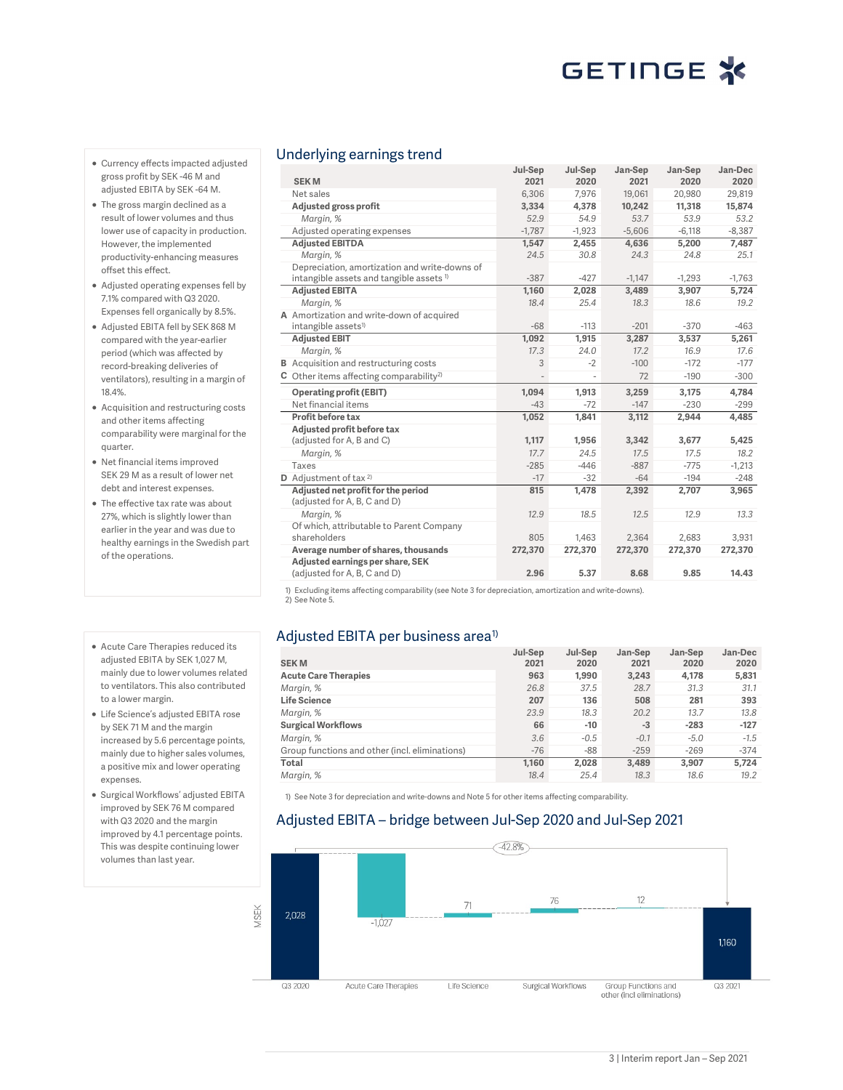- Currency effects impacted adjusted gross profit by SEK -46 M and adjusted EBITA by SEK -64 M.
- The gross margin declined as a result of lower volumes and thus lower use of capacity in production. However, the implemented productivity-enhancing measures offset this effect.
- Adjusted operating expenses fell by 7.1% compared with Q3 2020. Expenses fell organically by 8.5%.
- Adjusted EBITA fell by SEK 868 M compared with the year-earlier period (which was affected by record-breaking deliveries of ventilators), resulting in a margin of 18.4%.
- Acquisition and restructuring costs and other items affecting comparability were marginal for the quarter.
- Net financial items improved SEK 29 M as a result of lower net debt and interest expenses.
- The effective tax rate was about 27%, which is slightly lower than earlier in the year and was due to healthy earnings in the Swedish part of the operations.
- Acute Care Therapies reduced its adjusted EBITA by SEK 1,027 M, mainly due to lower volumes related to ventilators. This also contributed to a lower margin.
- Life Science's adjusted EBITA rose by SEK 71 M and the margin increased by 5.6 percentage points, mainly due to higher sales volumes, a positive mix and lower operating expenses.
- Surgical Workflows' adjusted EBITA improved by SEK 76 M compared with Q3 2020 and the margin improved by 4.1 percentage points. This was despite continuing lower volumes than last year.

#### Underlying earnings trend

| <b>SEKM</b>                                                        | Jul-Sep<br>2021 | Jul-Sep<br>2020 | Jan-Sep<br>2021 | Jan-Sep<br>2020 | Jan-Dec<br>2020 |
|--------------------------------------------------------------------|-----------------|-----------------|-----------------|-----------------|-----------------|
| Net sales                                                          | 6.306           | 7.976           | 19,061          | 20,980          | 29,819          |
| Adjusted gross profit                                              | 3,334           | 4,378           | 10,242          | 11,318          | 15,874          |
| Margin, %                                                          | 52.9            | 54.9            | 53.7            | 53.9            | 53.2            |
| Adjusted operating expenses                                        | $-1.787$        | $-1,923$        | $-5.606$        | $-6.118$        | $-8.387$        |
| <b>Adjusted EBITDA</b>                                             | 1,547           | 2,455           | 4,636           | 5,200           | 7,487           |
| Margin, %                                                          | 24.5            | 30.8            | 24.3            | 24.8            | 25.1            |
| Depreciation, amortization and write-downs of                      |                 |                 |                 |                 |                 |
| intangible assets and tangible assets <sup>1)</sup>                | $-387$          | $-427$          | $-1,147$        | $-1.293$        | $-1,763$        |
| <b>Adjusted EBITA</b>                                              | 1,160           | 2,028           | 3,489           | 3,907           | 5,724           |
| Margin, %                                                          | 18.4            | 25.4            | 18.3            | 18.6            | 19.2            |
| A Amortization and write-down of acquired                          |                 |                 |                 |                 |                 |
| intangible assets <sup>1)</sup>                                    | $-68$           | $-113$          | $-201$          | $-370$          | $-463$          |
| <b>Adjusted EBIT</b>                                               | 1,092           | 1,915           | 3,287           | 3,537           | 5,261           |
| Margin, %                                                          | 17.3            | 24.0            | 17.2            | 16.9            | 17.6            |
| <b>B</b> Acquisition and restructuring costs                       | 3               | $-2$            | $-100$          | $-172$          | $-177$          |
| $C$ Other items affecting comparability <sup>2)</sup>              |                 |                 | 72              | $-190$          | $-300$          |
| <b>Operating profit (EBIT)</b>                                     | 1,094           | 1.913           | 3,259           | 3,175           | 4,784           |
| Net financial items                                                | $-43$           | $-72$           | $-147$          | $-230$          | $-299$          |
| Profit before tax                                                  | 1,052           | 1,841           | 3,112           | 2,944           | 4,485           |
| Adjusted profit before tax                                         |                 |                 |                 |                 |                 |
| (adjusted for A, B and C)                                          | 1,117           | 1,956           | 3,342           | 3,677           | 5,425           |
| Margin, %                                                          | 17.7            | 24.5            | 17.5            | 17.5            | 18.2            |
| <b>Taxes</b>                                                       | $-285$          | $-446$          | $-887$          | $-775$          | $-1,213$        |
| <b>D</b> Adjustment of tax $2$                                     | $-17$           | $-32$           | $-64$           | $-194$          | $-248$          |
| Adjusted net profit for the period<br>(adjusted for A, B, C and D) | 815             | 1,478           | 2,392           | 2,707           | 3,965           |
| Margin, %                                                          | 12.9            | 18.5            | 12.5            | 12.9            | 13.3            |
| Of which, attributable to Parent Company                           |                 |                 |                 |                 |                 |
| shareholders                                                       | 805             | 1,463           | 2,364           | 2,683           | 3,931           |
| Average number of shares, thousands                                | 272,370         | 272,370         | 272,370         | 272,370         | 272,370         |
| Adjusted earnings per share, SEK<br>(adjusted for A, B, C and D)   | 2.96            | 5.37            | 8.68            | 9.85            | 14.43           |

1) Excluding items affecting comparability (see Note 3 for depreciation, amortization and write-downs). 2) See Note 5.

### Adjusted EBITA per business area $^{\rm 1)}$

|                                                | Jul-Sep | Jul-Sep | Jan-Sep | Jan-Sep | Jan-Dec |
|------------------------------------------------|---------|---------|---------|---------|---------|
| <b>SEKM</b>                                    | 2021    | 2020    | 2021    | 2020    | 2020    |
| <b>Acute Care Therapies</b>                    | 963     | 1.990   | 3.243   | 4,178   | 5,831   |
| Margin, %                                      | 26.8    | 37.5    | 28.7    | 31.3    | 31.1    |
| <b>Life Science</b>                            | 207     | 136     | 508     | 281     | 393     |
| Margin, %                                      | 23.9    | 18.3    | 20.2    | 13.7    | 13.8    |
| <b>Surgical Workflows</b>                      | 66      | $-10$   | $-3$    | $-283$  | $-127$  |
| Margin, %                                      | 3.6     | $-0.5$  | $-0.1$  | $-5.0$  | $-1.5$  |
| Group functions and other (incl. eliminations) | $-76$   | -88     | $-259$  | $-269$  | $-374$  |
| Total                                          | 1.160   | 2.028   | 3.489   | 3.907   | 5.724   |
| Margin, %                                      | 18.4    | 25.4    | 18.3    | 18.6    | 19.2    |

1) See Note 3 for depreciation and write-downs and Note 5 for other items affecting comparability.

#### Adjusted EBITA – bridge between Jul-Sep 2020 and Jul-Sep 2021

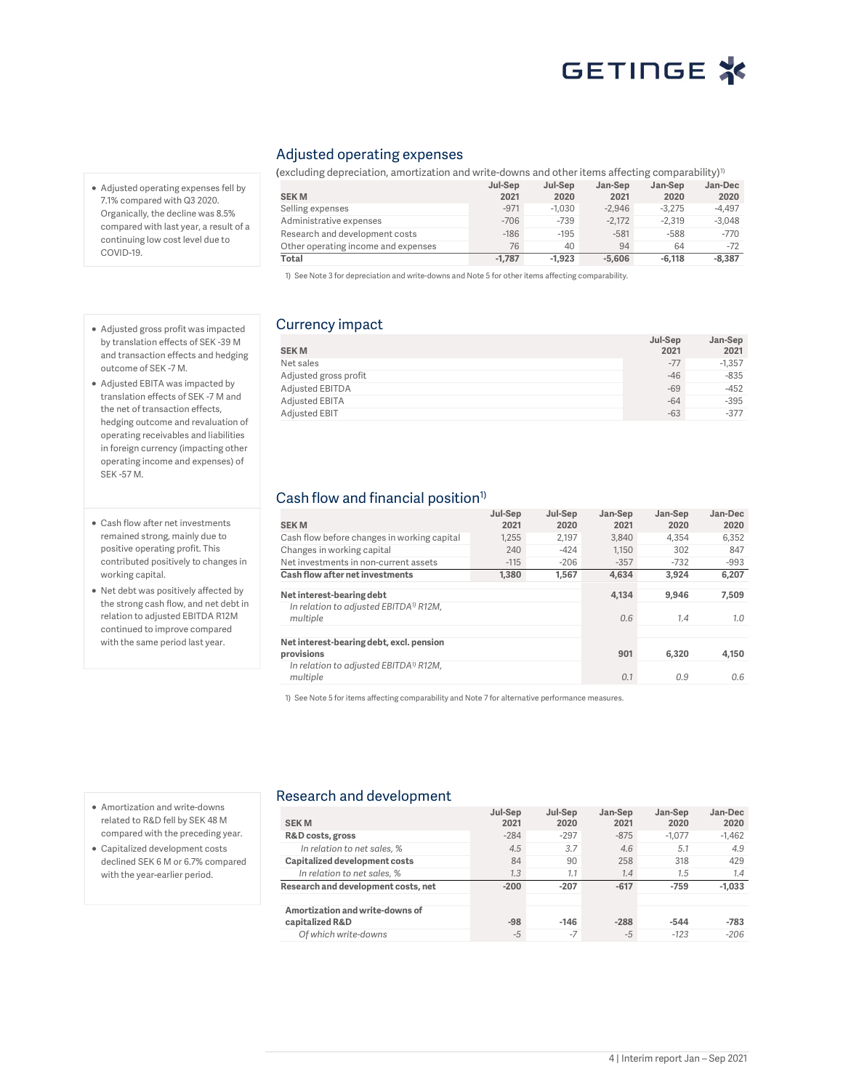- Adjusted operating expenses fell by 7.1% compared with Q3 2020. Organically, the decline was 8.5% compared with last year, a result of a continuing low cost level due to COVID-19.
- Adjusted gross profit was impacted by translation effects of SEK -39 M and transaction effects and hedging outcome of SEK -7 M.
- Adjusted EBITA was impacted by translation effects of SEK -7 M and the net of transaction effects, hedging outcome and revaluation of operating receivables and liabilities in foreign currency (impacting other operating income and expenses) of SEK -57 M.
- Cash flow after net investments remained strong, mainly due to positive operating profit. This contributed positively to changes in working capital.
- Net debt was positively affected by the strong cash flow, and net debt in relation to adjusted EBITDA R12M continued to improve compared with the same period last year.

#### Adjusted operating expenses

(excluding depreciation, amortization and write-downs and other items affecting comparability)<sup>1)</sup> SEK M Jul-Sep  $2021$ Jul-Sep  $2020$ <br> $-1.030$ Jan-Sep  $2021$ <br> $-2.946$ Jan-Sep  $2020$ <br> $-3.275$ Jan-Dec 2020<br>-4.497 Selling expenses Administrative expenses -706 -739 -2,172 -2,319 -3,048<br>Research and development costs -186 -195 -581 -588 -770 Research and development costs Other operating income and expenses  $\begin{array}{cccc} 76 & 40 & 94 & 64 & -72 \\ \hline \text{Total} & -1,787 & -1,923 & -5,606 & -6,118 & -8,387 \end{array}$ Total -1,787 -1,923 -5,606 -6,118 -8,387

1) See Note 3 for depreciation and write-downs and Note 5 for other items affecting comparability.

### Currency impact

| <b>SEKM</b>           | Jul-Sep<br>2021 | Jan-Sep<br>2021 |
|-----------------------|-----------------|-----------------|
| Net sales             | $-77$           | $-1.357$        |
| Adjusted gross profit | $-46$           | $-835$          |
| Adjusted EBITDA       | $-69$           | $-452$          |
| Adjusted EBITA        | $-64$           | $-395$          |
| Adjusted EBIT         | $-63$           | $-377$          |

#### Cash flow and financial position<sup>1)</sup>

| <b>SEKM</b>                                                    | Jul-Sep<br>2021 | Jul-Sep<br>2020 | Jan-Sep<br>2021 | Jan-Sep<br>2020 | Jan-Dec<br>2020 |
|----------------------------------------------------------------|-----------------|-----------------|-----------------|-----------------|-----------------|
| Cash flow before changes in working capital                    | 1.255           | 2.197           | 3.840           | 4.354           | 6,352           |
| Changes in working capital                                     | 240             | $-424$          | 1.150           | 302             | 847             |
| Net investments in non-current assets                          | $-115$          | $-206$          | $-357$          | $-732$          | $-993$          |
| Cash flow after net investments                                | 1,380           | 1,567           | 4.634           | 3.924           | 6,207           |
| Net interest-bearing debt                                      |                 |                 | 4.134           | 9.946           | 7.509           |
| In relation to adjusted EBITDA <sup>1)</sup> R12M,<br>multiple |                 |                 | 0.6             | 1.4             | 1.0             |
| Net interest-bearing debt, excl. pension<br>provisions         |                 |                 | 901             | 6.320           | 4.150           |
| In relation to adjusted EBITDA <sup>1)</sup> R12M,<br>multiple |                 |                 | 0.1             | 0.9             | 0.6             |

1) See Note 5 for items affecting comparability and Note 7 for alternative performance measures.

- Amortization and write-downs related to R&D fell by SEK 48 M compared with the preceding year.
- Capitalized development costs declined SEK 6 M or 6.7% compared with the year-earlier period.

#### Research and development

|                                     | Jul-Sep | Jul-Sep | Jan-Sep | Jan-Sep  | Jan-Dec  |
|-------------------------------------|---------|---------|---------|----------|----------|
| <b>SEKM</b>                         | 2021    | 2020    | 2021    | 2020     | 2020     |
| R&D costs, gross                    | $-284$  | $-297$  | $-875$  | $-1.077$ | $-1,462$ |
| In relation to net sales, %         | 4.5     | 3.7     | 4.6     | 5.1      | 4.9      |
| Capitalized development costs       | 84      | 90      | 258     | 318      | 429      |
| In relation to net sales, %         | 1.3     | 1.1     | 1.4     | 1.5      | 1.4      |
| Research and development costs, net | $-200$  | $-207$  | $-617$  | $-759$   | $-1.033$ |
|                                     |         |         |         |          |          |
| Amortization and write-downs of     |         |         |         |          |          |
| capitalized R&D                     | $-98$   | $-146$  | $-288$  | $-544$   | $-783$   |
| Of which write-downs                | $-5$    | $-7$    | $-5$    | $-123$   | $-206$   |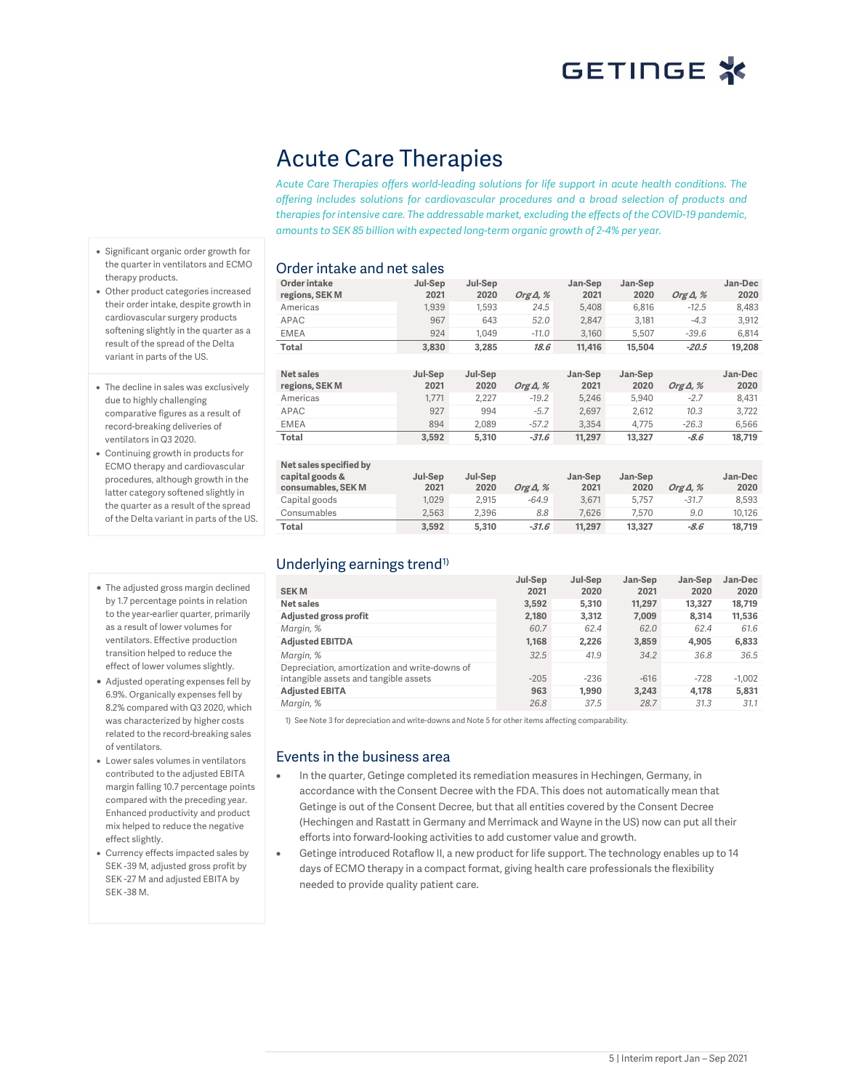## Acute Care Therapies

Acute Care Therapies offers world-leading solutions for life support in acute health conditions. The offering includes solutions for cardiovascular procedures and a broad selection of products and therapies for intensive care. The addressable market, excluding the effects of the COVID-19 pandemic, amounts to SEK 85 billion with expected long-term organic growth of 2-4% per year.

- Significant organic order growth for the quarter in ventilators and ECMO therapy products.
- Other product categories increased their order intake, despite growth in cardiovascular surgery products softening slightly in the quarter as a result of the spread of the Delta variant in parts of the US.
- The decline in sales was exclusively due to highly challenging comparative figures as a result of record-breaking deliveries of ventilators in Q3 2020.
- Continuing growth in products for ECMO therapy and cardiovascular procedures, although growth in the latter category softened slightly in the quarter as a result of the spread of the Delta variant in parts of the US.
- The adjusted gross margin declined by 1.7 percentage points in relation to the year-earlier quarter, primarily as a result of lower volumes for ventilators. Effective production transition helped to reduce the effect of lower volumes slightly.
- Adjusted operating expenses fell by 6.9%. Organically expenses fell by 8.2% compared with Q3 2020, which was characterized by higher costs related to the record-breaking sales of ventilators.
- Lower sales volumes in ventilators contributed to the adjusted EBITA margin falling 10.7 percentage points compared with the preceding year. Enhanced productivity and product mix helped to reduce the negative effect slightly.
- Currency effects impacted sales by SEK -39 M, adjusted gross profit by SEK -27 M and adjusted EBITA by SEK -38 M.

### Order intake and net sales

| Order intake<br>regions, SEK M     | Jul-Sep<br>2021 | Jul-Sep<br>2020 | Org $\Delta$ , % | Jan-Sep<br>2021 | Jan-Sep<br>2020 | Org $\Delta$ , % | Jan-Dec<br>2020 |
|------------------------------------|-----------------|-----------------|------------------|-----------------|-----------------|------------------|-----------------|
| Americas                           | 1,939           | 1,593           | 24.5             | 5,408           | 6,816           | $-12.5$          | 8,483           |
| APAC                               | 967             | 643             | 52.0             | 2,847           | 3,181           | $-4.3$           | 3,912           |
| <b>EMEA</b>                        | 924             | 1.049           | $-11.0$          | 3,160           | 5,507           | $-39.6$          | 6,814           |
| Total                              | 3,830           | 3,285           | 18.6             | 11,416          | 15,504          | $-20.5$          | 19,208          |
|                                    |                 |                 |                  |                 |                 |                  |                 |
| <b>Net sales</b><br>regions, SEK M | Jul-Sep<br>2021 | Jul-Sep<br>2020 | Org $\Delta$ , % | Jan-Sep<br>2021 | Jan-Sep<br>2020 | Org $\Delta$ , % | Jan-Dec<br>2020 |
| Americas                           | 1.771           | 2,227           | $-19.2$          | 5,246           | 5,940           | $-2.7$           | 8,431           |
| APAC                               | 927             | 994             | $-5.7$           | 2.697           | 2,612           | 10.3             | 3,722           |
| <b>EMEA</b>                        | 894             | 2.089           | $-57.2$          | 3.354           | 4,775           | $-26.3$          | 6,566           |
| Total                              | 3,592           | 5,310           | $-31.6$          | 11,297          | 13,327          | -8.6             | 18,719          |
|                                    |                 |                 |                  |                 |                 |                  |                 |
| Net sales specified by             |                 |                 |                  |                 |                 |                  |                 |
| capital goods &                    | Jul-Sep         | Jul-Sep         |                  | Jan-Sep<br>2021 | Jan-Sep         |                  | Jan-Dec         |
| consumables, SEK M                 | 2021            | 2020            | Org $\Delta$ , % |                 | 2020            | Org $\Delta$ , % | 2020            |
| Capital goods                      | 1,029           | 2,915           | $-64.9$          | 3.671           | 5,757           | $-31.7$          | 8,593           |
| Consumables                        | 2,563           | 2,396           | 8.8              | 7,626           | 7,570           | 9.0              | 10,126          |
| Total                              | 3.592           | 5.310           | $-31.6$          | 11.297          | 13,327          | $-8.6$           | 18.719          |

### Underlying earnings trend<sup>1)</sup>

| <b>SEKM</b>                                   | Jul-Sep<br>2021 | Jul-Sep<br>2020 | Jan-Sep<br>2021 | Jan-Sep<br>2020 | Jan-Dec<br>2020 |
|-----------------------------------------------|-----------------|-----------------|-----------------|-----------------|-----------------|
| Net sales                                     | 3.592           | 5.310           | 11,297          | 13,327          | 18,719          |
| Adjusted gross profit                         | 2,180           | 3.312           | 7.009           | 8.314           | 11.536          |
| Margin, %                                     | 60.7            | 62.4            | 62.0            | 62.4            | 61.6            |
| <b>Adjusted EBITDA</b>                        | 1.168           | 2.226           | 3,859           | 4.905           | 6,833           |
| Margin, %                                     | 32.5            | 41.9            | 34.2            | 36.8            | 36.5            |
| Depreciation, amortization and write-downs of |                 |                 |                 |                 |                 |
| intangible assets and tangible assets         | $-205$          | $-236$          | $-616$          | $-728$          | $-1.002$        |
| <b>Adjusted EBITA</b>                         | 963             | 1.990           | 3.243           | 4.178           | 5,831           |
| Margin, %                                     | 26.8            | 37.5            | 28.7            | 31.3            | 31.1            |

1) See Note 3 for depreciation and write-downs and Note 5 for other items affecting comparability.

#### Events in the business area

- In the quarter, Getinge completed its remediation measures in Hechingen, Germany, in accordance with the Consent Decree with the FDA. This does not automatically mean that Getinge is out of the Consent Decree, but that all entities covered by the Consent Decree (Hechingen and Rastatt in Germany and Merrimack and Wayne in the US) now can put all their efforts into forward-looking activities to add customer value and growth.
- Getinge introduced Rotaflow II, a new product for life support. The technology enables up to 14 days of ECMO therapy in a compact format, giving health care professionals the flexibility needed to provide quality patient care.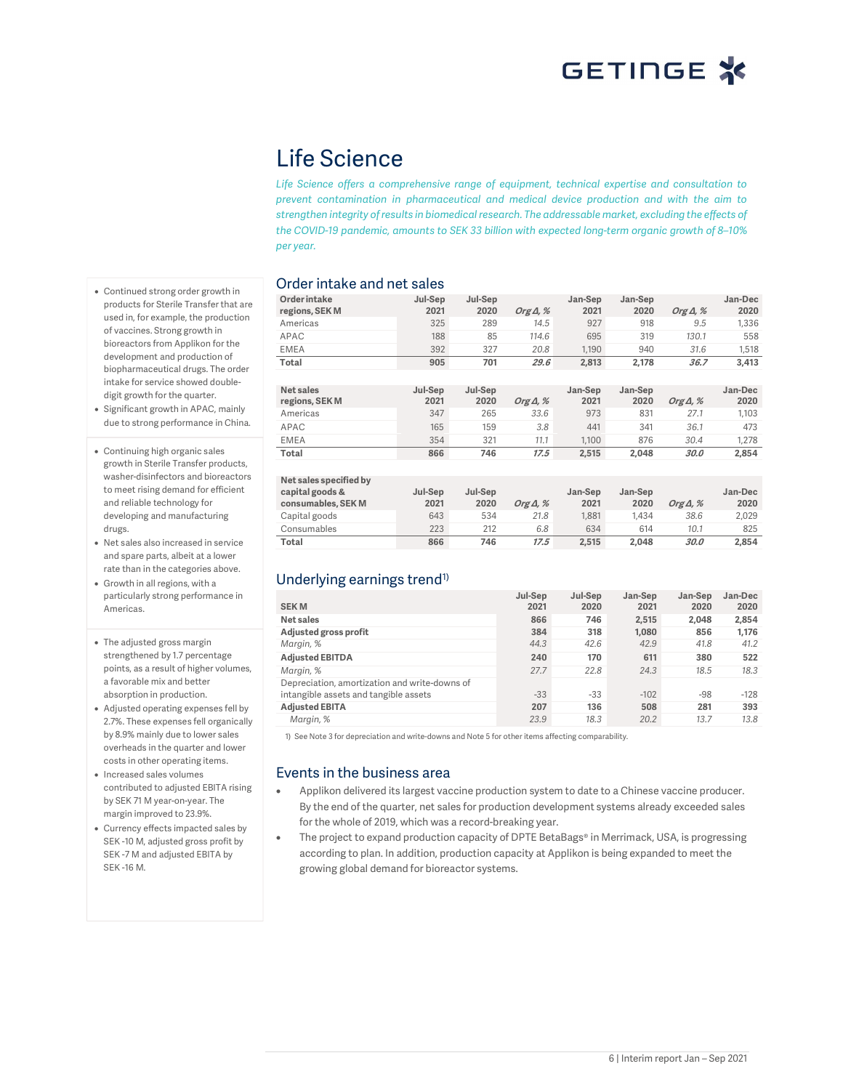## Life Science

Life Science offers a comprehensive range of equipment, technical expertise and consultation to prevent contamination in pharmaceutical and medical device production and with the aim to strengthen integrity of results in biomedical research. The addressable market, excluding the effects of the COVID-19 pandemic, amounts to SEK 33 billion with expected long-term organic growth of 8–10% per year.

#### Order intake and net sales

| Order intake<br>regions, SEK M | Jul-Sep<br>2021 | Jul-Sep<br>2020 | Org $\Delta$ , % | Jan-Sep<br>2021 | Jan-Sep<br>2020 | Org $\Delta$ , % | Jan-Dec<br>2020 |
|--------------------------------|-----------------|-----------------|------------------|-----------------|-----------------|------------------|-----------------|
| Americas                       | 325             | 289             | 14.5             | 927             | 918             | 9.5              | 1,336           |
| APAC                           | 188             | 85              | 114.6            | 695             | 319             | 130.1            | 558             |
| <b>EMEA</b>                    | 392             | 327             | 20.8             | 1,190           | 940             | 31.6             | 1,518           |
| Total                          | 905             | 701             | 29.6             | 2,813           | 2,178           | 36.7             | 3,413           |
|                                |                 |                 |                  |                 |                 |                  |                 |
| Net sales<br>regions, SEK M    | Jul-Sep<br>2021 | Jul-Sep<br>2020 | Org $\Delta$ , % | Jan-Sep<br>2021 | Jan-Sep<br>2020 | Org $\Delta$ , % | Jan-Dec<br>2020 |
| Americas                       | 347             | 265             | 33.6             | 973             | 831             | 27.1             | 1,103           |
| APAC                           | 165             | 159             | 3.8              | 441             | 341             | 36.1             | 473             |
| <b>EMEA</b>                    | 354             | 321             | 11.1             | 1,100           | 876             | 30.4             | 1,278           |
| Total                          | 866             | 746             | 17.5             | 2,515           | 2,048           | 30.0             | 2,854           |
|                                |                 |                 |                  |                 |                 |                  |                 |
| Net sales specified by         |                 |                 |                  |                 |                 |                  |                 |
| capital goods &                | Jul-Sep         | Jul-Sep         |                  | Jan-Sep         | Jan-Sep         |                  | Jan-Dec         |
| consumables, SEK M             | 2021            | 2020            | Org $\Delta$ , % | 2021            | 2020            | Org $\Delta$ , % | 2020            |
| Capital goods                  | 643             | 534             | 21.8             | 1,881           | 1,434           | 38.6             | 2,029           |
| Consumables                    | 223             | 212             | 6.8              | 634             | 614             | 10.1             | 825             |
| Total                          | 866             | 746             | 17.5             | 2,515           | 2,048           | 30.0             | 2,854           |

### Underlying earnings trend<sup>1)</sup>

| <b>SEKM</b>                                                                            | Jul-Sep<br>2021 | Jul-Sep<br>2020 | Jan-Sep<br>2021 | Jan-Sep<br>2020 | Jan-Dec<br>2020 |
|----------------------------------------------------------------------------------------|-----------------|-----------------|-----------------|-----------------|-----------------|
| Net sales                                                                              | 866             | 746             | 2,515           | 2.048           | 2,854           |
| Adjusted gross profit                                                                  | 384             | 318             | 1.080           | 856             | 1,176           |
| Margin, %                                                                              | 44.3            | 42.6            | 42.9            | 41.8            | 41.2            |
| <b>Adjusted EBITDA</b>                                                                 | 240             | 170             | 611             | 380             | 522             |
| Margin, %                                                                              | 27.7            | 22.8            | 24.3            | 18.5            | 18.3            |
| Depreciation, amortization and write-downs of<br>intangible assets and tangible assets | $-33$           | $-33$           | $-102$          | $-98$           | $-128$          |
| <b>Adjusted EBITA</b>                                                                  | 207             | 136             | 508             | 281             | 393             |
| Margin, %                                                                              | 23.9            | 18.3            | 20.2            | 13.7            | 13.8            |

1) See Note 3 for depreciation and write-downs and Note 5 for other items affecting comparability.

#### Events in the business area

- Applikon delivered its largest vaccine production system to date to a Chinese vaccine producer. By the end of the quarter, net sales for production development systems already exceeded sales for the whole of 2019, which was a record-breaking year.
- The project to expand production capacity of DPTE BetaBags® in Merrimack, USA, is progressing according to plan. In addition, production capacity at Applikon is being expanded to meet the growing global demand for bioreactor systems.
- Continued strong order growth in products for Sterile Transfer that are used in, for example, the production of vaccines. Strong growth in bioreactors from Applikon for the development and production of biopharmaceutical drugs. The order intake for service showed doubledigit growth for the quarter.
- Significant growth in APAC, mainly due to strong performance in China.
- Continuing high organic sales growth in Sterile Transfer products, washer-disinfectors and bioreactors to meet rising demand for efficient and reliable technology for developing and manufacturing drugs.
- Net sales also increased in service and spare parts, albeit at a lower rate than in the categories above.
- Growth in all regions, with a particularly strong performance in Americas.
- The adjusted gross margin strengthened by 1.7 percentage points, as a result of higher volumes, a favorable mix and better absorption in production.
- Adjusted operating expenses fell by 2.7%. These expenses fell organically by 8.9% mainly due to lower sales overheads in the quarter and lower costs in other operating items.
- Increased sales volumes contributed to adjusted EBITA rising by SEK 71 M year-on-year. The margin improved to 23.9%.
- Currency effects impacted sales by SEK -10 M, adjusted gross profit by SEK -7 M and adjusted EBITA by SEK -16 M.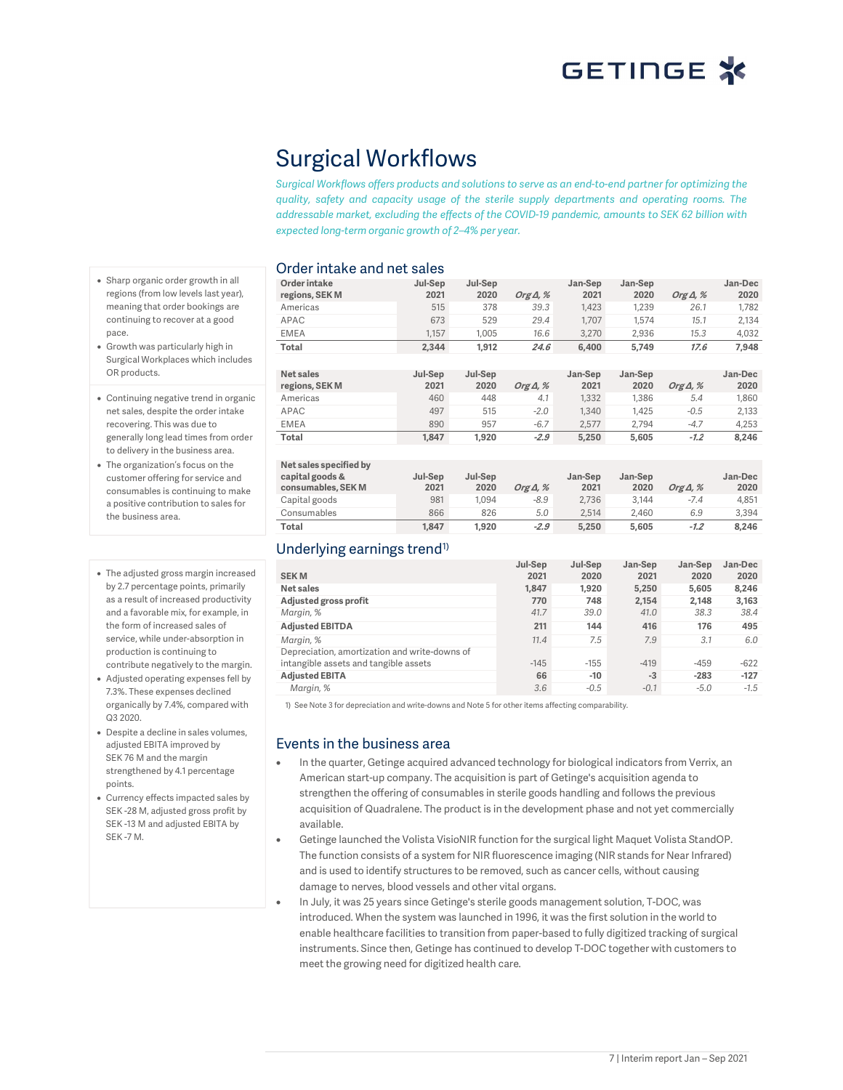Jan-Dec

## Surgical Workflows

Surgical Workflows offers products and solutions to serve as an end-to-end partner for optimizing the quality, safety and capacity usage of the sterile supply departments and operating rooms. The addressable market, excluding the effects of the COVID-19 pandemic, amounts to SEK 62 billion with expected long-term organic growth of 2–4% per year.

Jul-Sep

#### Order intake and net sales

Jul-Sep

Order intake

- Sharp organic order growth in all regions (from low levels last year), meaning that order bookings are continuing to recover at a good pace.
- Growth was particularly high in Surgical Workplaces which includes OR products.
- Continuing negative trend in organic net sales, despite the order intake recovering. This was due to generally long lead times from order to delivery in the business area.
- The organization's focus on the customer offering for service and consumables is continuing to make a positive contribution to sales for the business area.
- The adjusted gross margin increased by 2.7 percentage points, primarily as a result of increased productivity and a favorable mix, for example, in the form of increased sales of service, while under-absorption in production is continuing to contribute negatively to the margin.
- Adjusted operating expenses fell by 7.3%. These expenses declined organically by 7.4%, compared with Q3 2020.
- Despite a decline in sales volumes, adjusted EBITA improved by SEK 76 M and the margin strengthened by 4.1 percentage points.
- Currency effects impacted sales by SEK -28 M, adjusted gross profit by SEK -13 M and adjusted EBITA by SEK -7 M.

| Order intake<br>regions, SEK M        | Jul-Sep<br>2021 | Jul-Sep<br>2020 | Org $\Delta$ , % | Jan-Sep<br>2021 | Jan-Sep<br>2020 | Org $\Delta$ , % | Jan-Dec<br>2020 |
|---------------------------------------|-----------------|-----------------|------------------|-----------------|-----------------|------------------|-----------------|
| Americas                              | 515             | 378             | 39.3             | 1,423           | 1,239           | 26.1             | 1,782           |
| APAC                                  | 673             | 529             | 29.4             | 1,707           | 1,574           | 15.1             | 2,134           |
| <b>EMEA</b>                           | 1,157           | 1,005           | 16.6             | 3,270           | 2,936           | 15.3             | 4,032           |
| Total                                 | 2.344           | 1,912           | 24.6             | 6.400           | 5,749           | 17.6             | 7,948           |
|                                       |                 |                 |                  |                 |                 |                  |                 |
| Net sales                             | Jul-Sep         | Jul-Sep         |                  | Jan-Sep         | Jan-Sep         |                  | Jan-Dec         |
| regions, SEK M                        | 2021            | 2020            | Org $\Delta$ , % | 2021            | 2020            | Org $\Delta$ , % | 2020            |
| Americas                              | 460             | 448             | 4.1              | 1,332           | 1,386           | 5.4              | 1,860           |
| APAC                                  | 497             | 515             | $-2.0$           | 1,340           | 1,425           | $-0.5$           | 2,133           |
| <b>EMEA</b>                           | 890             | 957             | $-6.7$           | 2,577           | 2,794           | $-4.7$           | 4,253           |
| Total                                 | 1,847           | 1,920           | $-2.9$           | 5,250           | 5,605           | $-1.2$           | 8,246           |
|                                       |                 |                 |                  |                 |                 |                  |                 |
| Net sales specified by                |                 |                 |                  |                 |                 |                  |                 |
| capital goods &<br>consumables, SEK M | Jul-Sep<br>2021 | Jul-Sep<br>2020 | Org $\Delta$ , % | Jan-Sep<br>2021 | Jan-Sep<br>2020 | Org $\Delta$ , % | Jan-Dec<br>2020 |
| Capital goods                         | 981             | 1,094           | $-8.9$           | 2,736           | 3,144           | $-7.4$           | 4,851           |
| Consumables                           | 866             | 826             | 5.0              | 2,514           | 2,460           | 6.9              | 3,394           |
|                                       |                 |                 |                  |                 |                 |                  |                 |

### Underlying earnings trend<sup>1)</sup>

|                                               | Jul-Sep | Jul-Sep | Jan-Sep | Jan-Sep | Jan-Dec |
|-----------------------------------------------|---------|---------|---------|---------|---------|
| <b>SEKM</b>                                   | 2021    | 2020    | 2021    | 2020    | 2020    |
| Net sales                                     | 1.847   | 1.920   | 5.250   | 5.605   | 8.246   |
| Adjusted gross profit                         | 770     | 748     | 2,154   | 2.148   | 3,163   |
| Margin, %                                     | 41.7    | 39.0    | 41.0    | 38.3    | 38.4    |
| <b>Adjusted EBITDA</b>                        | 211     | 144     | 416     | 176     | 495     |
| Margin, %                                     | 11.4    | 7.5     | 7.9     | 3.1     | 6.0     |
| Depreciation, amortization and write-downs of |         |         |         |         |         |
| intangible assets and tangible assets         | $-145$  | $-155$  | $-419$  | $-459$  | $-622$  |
| <b>Adjusted EBITA</b>                         | 66      | $-10$   | $-3$    | $-283$  | $-127$  |
| Margin, %                                     | 3.6     | $-0.5$  | $-0.1$  | $-5.0$  | $-1.5$  |

Total 1,847 1,920 -2.9 5,250 5,605 -1.2 8,246

1) See Note 3 for depreciation and write-downs and Note 5 for other items affecting comparability.

#### Events in the business area

- In the quarter, Getinge acquired advanced technology for biological indicators from Verrix, an American start-up company. The acquisition is part of Getinge's acquisition agenda to strengthen the offering of consumables in sterile goods handling and follows the previous acquisition of Quadralene. The product is in the development phase and not yet commercially available.
- Getinge launched the Volista VisioNIR function for the surgical light Maquet Volista StandOP. The function consists of a system for NIR fluorescence imaging (NIR stands for Near Infrared) and is used to identify structures to be removed, such as cancer cells, without causing damage to nerves, blood vessels and other vital organs.
- In July, it was 25 years since Getinge's sterile goods management solution, T-DOC, was introduced. When the system was launched in 1996, it was the first solution in the world to enable healthcare facilities to transition from paper-based to fully digitized tracking of surgical instruments. Since then, Getinge has continued to develop T-DOC together with customers to meet the growing need for digitized health care.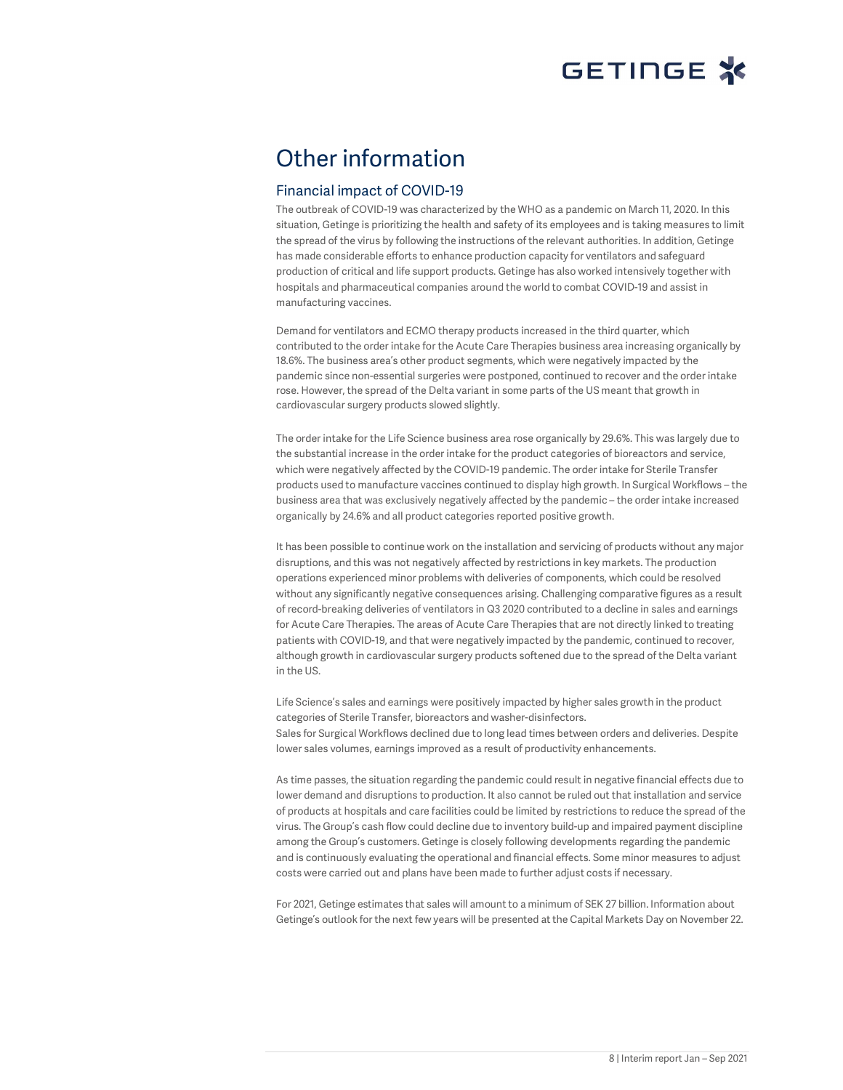## Other information

#### Financial impact of COVID-19

The outbreak of COVID-19 was characterized by the WHO as a pandemic on March 11, 2020. In this situation, Getinge is prioritizing the health and safety of its employees and is taking measures to limit the spread of the virus by following the instructions of the relevant authorities. In addition, Getinge has made considerable efforts to enhance production capacity for ventilators and safeguard production of critical and life support products. Getinge has also worked intensively together with hospitals and pharmaceutical companies around the world to combat COVID-19 and assist in manufacturing vaccines.

Demand for ventilators and ECMO therapy products increased in the third quarter, which contributed to the order intake for the Acute Care Therapies business area increasing organically by 18.6%. The business area's other product segments, which were negatively impacted by the pandemic since non-essential surgeries were postponed, continued to recover and the order intake rose. However, the spread of the Delta variant in some parts of the US meant that growth in cardiovascular surgery products slowed slightly.

The order intake for the Life Science business area rose organically by 29.6%. This was largely due to the substantial increase in the order intake for the product categories of bioreactors and service, which were negatively affected by the COVID-19 pandemic. The order intake for Sterile Transfer products used to manufacture vaccines continued to display high growth. In Surgical Workflows – the business area that was exclusively negatively affected by the pandemic – the order intake increased organically by 24.6% and all product categories reported positive growth.

It has been possible to continue work on the installation and servicing of products without any major disruptions, and this was not negatively affected by restrictions in key markets. The production operations experienced minor problems with deliveries of components, which could be resolved without any significantly negative consequences arising. Challenging comparative figures as a result of record-breaking deliveries of ventilators in Q3 2020 contributed to a decline in sales and earnings for Acute Care Therapies. The areas of Acute Care Therapies that are not directly linked to treating patients with COVID-19, and that were negatively impacted by the pandemic, continued to recover, although growth in cardiovascular surgery products softened due to the spread of the Delta variant in the US.

Life Science's sales and earnings were positively impacted by higher sales growth in the product categories of Sterile Transfer, bioreactors and washer-disinfectors. Sales for Surgical Workflows declined due to long lead times between orders and deliveries. Despite lower sales volumes, earnings improved as a result of productivity enhancements.

As time passes, the situation regarding the pandemic could result in negative financial effects due to lower demand and disruptions to production. It also cannot be ruled out that installation and service of products at hospitals and care facilities could be limited by restrictions to reduce the spread of the virus. The Group's cash flow could decline due to inventory build-up and impaired payment discipline among the Group's customers. Getinge is closely following developments regarding the pandemic and is continuously evaluating the operational and financial effects. Some minor measures to adjust costs were carried out and plans have been made to further adjust costs if necessary.

For 2021, Getinge estimates that sales will amount to a minimum of SEK 27 billion. Information about Getinge's outlook for the next few years will be presented at the Capital Markets Day on November 22.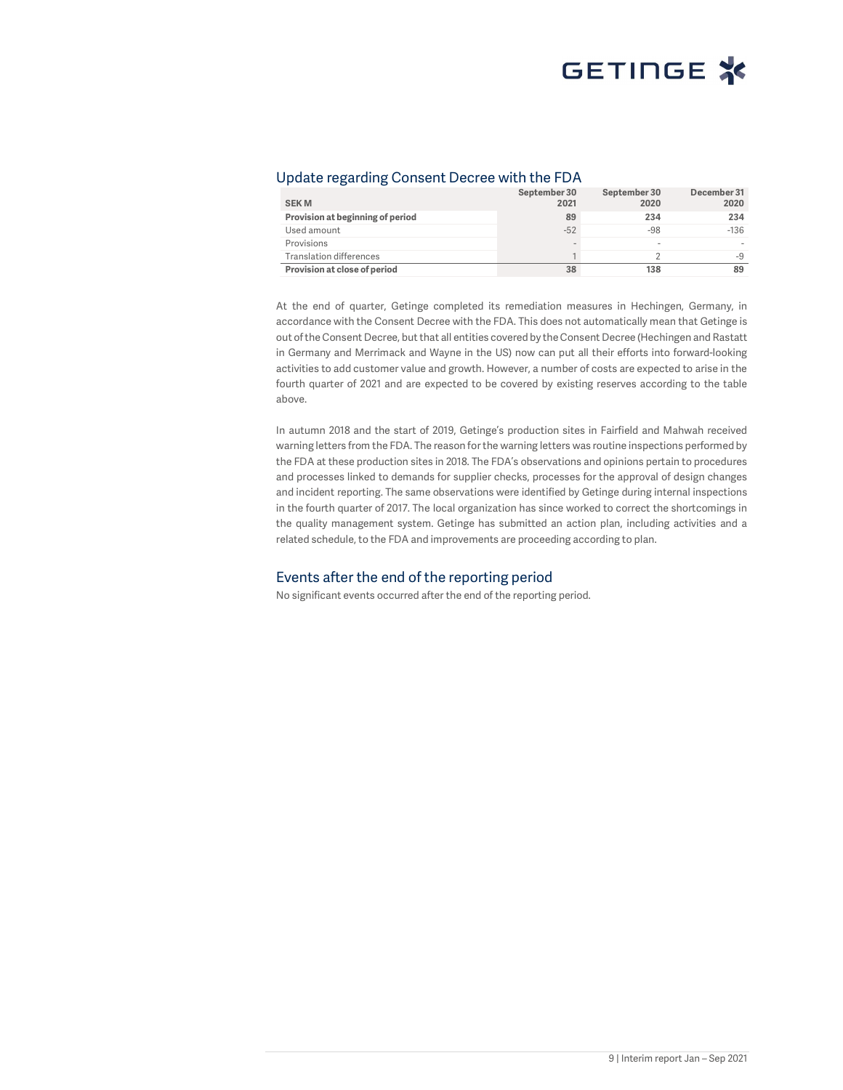#### Update regarding Consent Decree with the FDA

| <b>SEKM</b>                      | September 30<br>2021 | September 30<br>2020     | December 31<br>2020 |
|----------------------------------|----------------------|--------------------------|---------------------|
| Provision at beginning of period | 89                   | 234                      | 234                 |
| Used amount                      | $-52$                | $-98$                    | $-136$              |
| Provisions                       | $\sim$               | $\overline{\phantom{a}}$ |                     |
| <b>Translation differences</b>   |                      |                          | -9                  |
| Provision at close of period     | 38                   | 138                      | 89                  |

At the end of quarter, Getinge completed its remediation measures in Hechingen, Germany, in accordance with the Consent Decree with the FDA. This does not automatically mean that Getinge is out of the Consent Decree, but that all entities covered by the Consent Decree (Hechingen and Rastatt in Germany and Merrimack and Wayne in the US) now can put all their efforts into forward-looking activities to add customer value and growth. However, a number of costs are expected to arise in the fourth quarter of 2021 and are expected to be covered by existing reserves according to the table above.

In autumn 2018 and the start of 2019, Getinge's production sites in Fairfield and Mahwah received warning letters from the FDA. The reason for the warning letters was routine inspections performed by the FDA at these production sites in 2018. The FDA's observations and opinions pertain to procedures and processes linked to demands for supplier checks, processes for the approval of design changes and incident reporting. The same observations were identified by Getinge during internal inspections in the fourth quarter of 2017. The local organization has since worked to correct the shortcomings in the quality management system. Getinge has submitted an action plan, including activities and a related schedule, to the FDA and improvements are proceeding according to plan.

#### Events after the end of the reporting period

No significant events occurred after the end of the reporting period.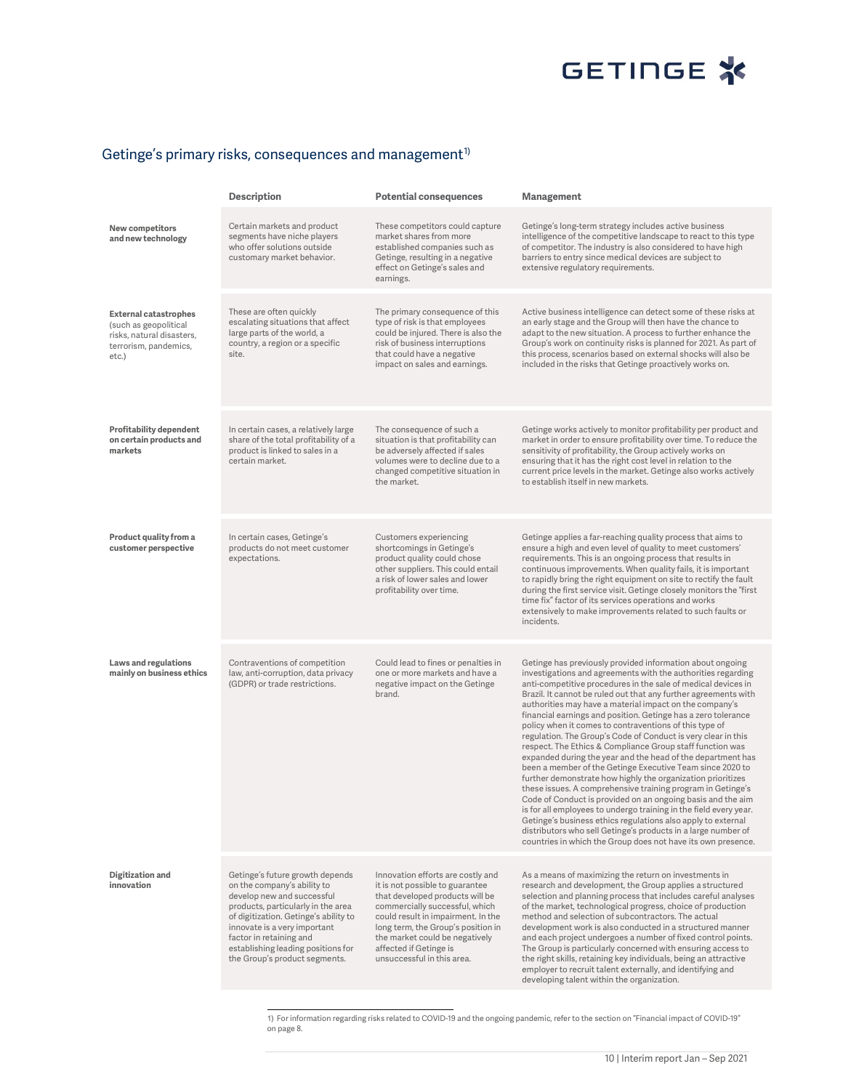#### Getinge's primary risks, consequences and management $^{\iota_{\textrm{D}}}$

|                                                                                                                      | Description                                                                                                                                                                                                                                                                                                   | <b>Potential consequences</b>                                                                                                                                                                                                                                                                                   | Management                                                                                                                                                                                                                                                                                                                                                                                                                                                                                                                                                                                                                                                                                                                                                                                                                                                                                                                                                                                                                                                                                                                                                                       |
|----------------------------------------------------------------------------------------------------------------------|---------------------------------------------------------------------------------------------------------------------------------------------------------------------------------------------------------------------------------------------------------------------------------------------------------------|-----------------------------------------------------------------------------------------------------------------------------------------------------------------------------------------------------------------------------------------------------------------------------------------------------------------|----------------------------------------------------------------------------------------------------------------------------------------------------------------------------------------------------------------------------------------------------------------------------------------------------------------------------------------------------------------------------------------------------------------------------------------------------------------------------------------------------------------------------------------------------------------------------------------------------------------------------------------------------------------------------------------------------------------------------------------------------------------------------------------------------------------------------------------------------------------------------------------------------------------------------------------------------------------------------------------------------------------------------------------------------------------------------------------------------------------------------------------------------------------------------------|
| New competitors<br>and new technology                                                                                | Certain markets and product<br>segments have niche players<br>who offer solutions outside<br>customary market behavior.                                                                                                                                                                                       | These competitors could capture<br>market shares from more<br>established companies such as<br>Getinge, resulting in a negative<br>effect on Getinge's sales and<br>earnings.                                                                                                                                   | Getinge's long-term strategy includes active business<br>intelligence of the competitive landscape to react to this type<br>of competitor. The industry is also considered to have high<br>barriers to entry since medical devices are subject to<br>extensive regulatory requirements.                                                                                                                                                                                                                                                                                                                                                                                                                                                                                                                                                                                                                                                                                                                                                                                                                                                                                          |
| <b>External catastrophes</b><br>(such as geopolitical<br>risks, natural disasters,<br>terrorism, pandemics,<br>etc.) | These are often quickly<br>escalating situations that affect<br>large parts of the world, a<br>country, a region or a specific<br>site.                                                                                                                                                                       | The primary consequence of this<br>type of risk is that employees<br>could be injured. There is also the<br>risk of business interruptions<br>that could have a negative<br>impact on sales and earnings.                                                                                                       | Active business intelligence can detect some of these risks at<br>an early stage and the Group will then have the chance to<br>adapt to the new situation. A process to further enhance the<br>Group's work on continuity risks is planned for 2021. As part of<br>this process, scenarios based on external shocks will also be<br>included in the risks that Getinge proactively works on.                                                                                                                                                                                                                                                                                                                                                                                                                                                                                                                                                                                                                                                                                                                                                                                     |
| <b>Profitability dependent</b><br>on certain products and<br>markets                                                 | In certain cases, a relatively large<br>share of the total profitability of a<br>product is linked to sales in a<br>certain market.                                                                                                                                                                           | The consequence of such a<br>situation is that profitability can<br>be adversely affected if sales<br>volumes were to decline due to a<br>changed competitive situation in<br>the market.                                                                                                                       | Getinge works actively to monitor profitability per product and<br>market in order to ensure profitability over time. To reduce the<br>sensitivity of profitability, the Group actively works on<br>ensuring that it has the right cost level in relation to the<br>current price levels in the market. Getinge also works actively<br>to establish itself in new markets.                                                                                                                                                                                                                                                                                                                                                                                                                                                                                                                                                                                                                                                                                                                                                                                                       |
| Product quality from a<br>customer perspective                                                                       | In certain cases, Getinge's<br>products do not meet customer<br>expectations.                                                                                                                                                                                                                                 | Customers experiencing<br>shortcomings in Getinge's<br>product quality could chose<br>other suppliers. This could entail<br>a risk of lower sales and lower<br>profitability over time.                                                                                                                         | Getinge applies a far-reaching quality process that aims to<br>ensure a high and even level of quality to meet customers'<br>requirements. This is an ongoing process that results in<br>continuous improvements. When quality fails, it is important<br>to rapidly bring the right equipment on site to rectify the fault<br>during the first service visit. Getinge closely monitors the "first<br>time fix" factor of its services operations and works<br>extensively to make improvements related to such faults or<br>incidents.                                                                                                                                                                                                                                                                                                                                                                                                                                                                                                                                                                                                                                           |
| <b>Laws and regulations</b><br>mainly on business ethics                                                             | Contraventions of competition<br>law, anti-corruption, data privacy<br>(GDPR) or trade restrictions.                                                                                                                                                                                                          | Could lead to fines or penalties in<br>one or more markets and have a<br>negative impact on the Getinge<br>brand.                                                                                                                                                                                               | Getinge has previously provided information about ongoing<br>investigations and agreements with the authorities regarding<br>anti-competitive procedures in the sale of medical devices in<br>Brazil. It cannot be ruled out that any further agreements with<br>authorities may have a material impact on the company's<br>financial earnings and position. Getinge has a zero tolerance<br>policy when it comes to contraventions of this type of<br>regulation. The Group's Code of Conduct is very clear in this<br>respect. The Ethics & Compliance Group staff function was<br>expanded during the year and the head of the department has<br>been a member of the Getinge Executive Team since 2020 to<br>further demonstrate how highly the organization prioritizes<br>these issues. A comprehensive training program in Getinge's<br>Code of Conduct is provided on an ongoing basis and the aim<br>is for all employees to undergo training in the field every year.<br>Getinge's business ethics regulations also apply to external<br>distributors who sell Getinge's products in a large number of<br>countries in which the Group does not have its own presence. |
| Digitization and<br>innovation                                                                                       | Getinge's future growth depends<br>on the company's ability to<br>develop new and successful<br>products, particularly in the area<br>of digitization. Getinge's ability to<br>innovate is a very important<br>factor in retaining and<br>establishing leading positions for<br>the Group's product segments. | Innovation efforts are costly and<br>it is not possible to guarantee<br>that developed products will be<br>commercially successful, which<br>could result in impairment. In the<br>long term, the Group's position in<br>the market could be negatively<br>affected if Getinge is<br>unsuccessful in this area. | As a means of maximizing the return on investments in<br>research and development, the Group applies a structured<br>selection and planning process that includes careful analyses<br>of the market, technological progress, choice of production<br>method and selection of subcontractors. The actual<br>development work is also conducted in a structured manner<br>and each project undergoes a number of fixed control points.<br>The Group is particularly concerned with ensuring access to<br>the right skills, retaining key individuals, being an attractive<br>employer to recruit talent externally, and identifying and<br>developing talent within the organization.                                                                                                                                                                                                                                                                                                                                                                                                                                                                                              |

1) For information regarding risks related to COVID-19 and the ongoing pandemic, refer to the section on "Financial impact of COVID-19" on page 8.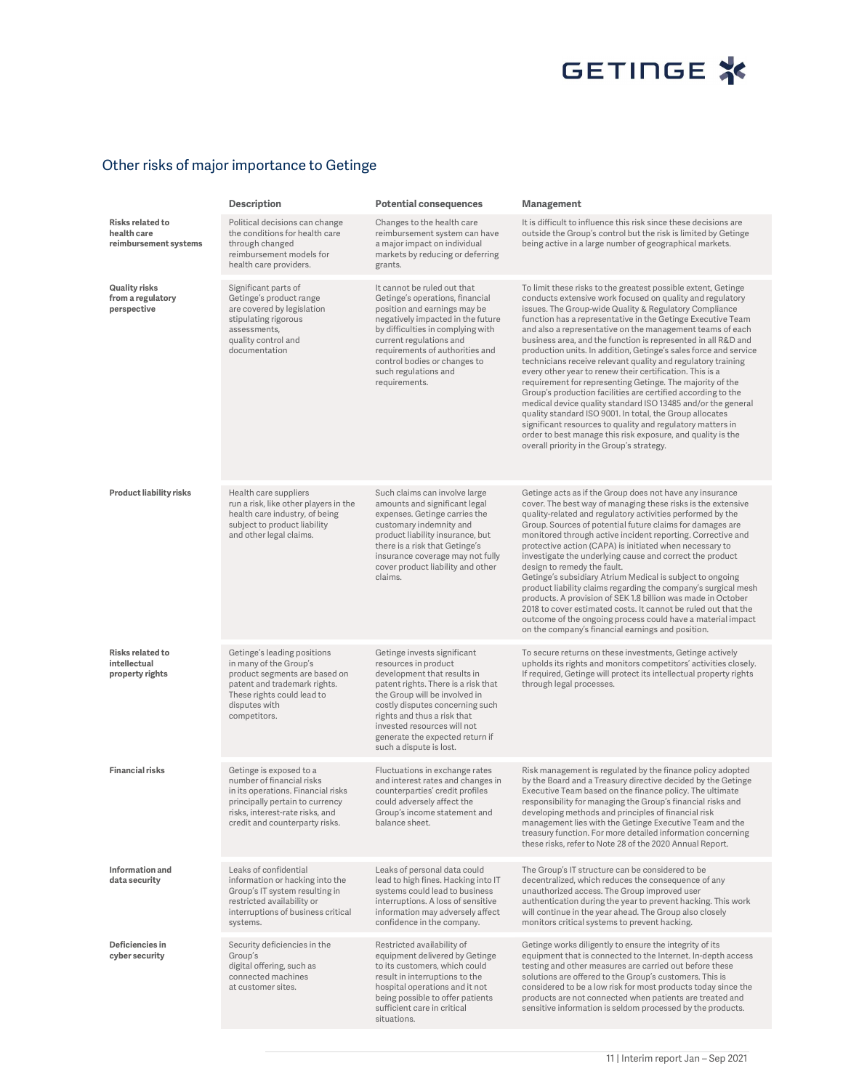# GETINGE<sup>\*</sup>

### Other risks of major importance to Getinge

|                                                            | <b>Description</b>                                                                                                                                                                                 | <b>Potential consequences</b>                                                                                                                                                                                                                                                                                             | Management                                                                                                                                                                                                                                                                                                                                                                                                                                                                                                                                                                                                                                                                                                                                                                                                                                                                                                                                                                                                           |
|------------------------------------------------------------|----------------------------------------------------------------------------------------------------------------------------------------------------------------------------------------------------|---------------------------------------------------------------------------------------------------------------------------------------------------------------------------------------------------------------------------------------------------------------------------------------------------------------------------|----------------------------------------------------------------------------------------------------------------------------------------------------------------------------------------------------------------------------------------------------------------------------------------------------------------------------------------------------------------------------------------------------------------------------------------------------------------------------------------------------------------------------------------------------------------------------------------------------------------------------------------------------------------------------------------------------------------------------------------------------------------------------------------------------------------------------------------------------------------------------------------------------------------------------------------------------------------------------------------------------------------------|
| Risks related to<br>health care<br>reimbursement systems   | Political decisions can change<br>the conditions for health care<br>through changed<br>reimbursement models for<br>health care providers.                                                          | Changes to the health care<br>reimbursement system can have<br>a major impact on individual<br>markets by reducing or deferring<br>grants.                                                                                                                                                                                | It is difficult to influence this risk since these decisions are<br>outside the Group's control but the risk is limited by Getinge<br>being active in a large number of geographical markets.                                                                                                                                                                                                                                                                                                                                                                                                                                                                                                                                                                                                                                                                                                                                                                                                                        |
| <b>Quality risks</b><br>from a regulatory<br>perspective   | Significant parts of<br>Getinge's product range<br>are covered by legislation<br>stipulating rigorous<br>assessments,<br>quality control and<br>documentation                                      | It cannot be ruled out that<br>Getinge's operations, financial<br>position and earnings may be<br>negatively impacted in the future<br>by difficulties in complying with<br>current regulations and<br>requirements of authorities and<br>control bodies or changes to<br>such regulations and<br>requirements.           | To limit these risks to the greatest possible extent, Getinge<br>conducts extensive work focused on quality and regulatory<br>issues. The Group-wide Quality & Regulatory Compliance<br>function has a representative in the Getinge Executive Team<br>and also a representative on the management teams of each<br>business area, and the function is represented in all R&D and<br>production units. In addition, Getinge's sales force and service<br>technicians receive relevant quality and regulatory training<br>every other year to renew their certification. This is a<br>requirement for representing Getinge. The majority of the<br>Group's production facilities are certified according to the<br>medical device quality standard ISO 13485 and/or the general<br>quality standard ISO 9001. In total, the Group allocates<br>significant resources to quality and regulatory matters in<br>order to best manage this risk exposure, and quality is the<br>overall priority in the Group's strategy. |
| Product liability risks                                    | Health care suppliers<br>run a risk, like other players in the<br>health care industry, of being<br>subject to product liability<br>and other legal claims.                                        | Such claims can involve large<br>amounts and significant legal<br>expenses. Getinge carries the<br>customary indemnity and<br>product liability insurance, but<br>there is a risk that Getinge's<br>insurance coverage may not fully<br>cover product liability and other<br>claims.                                      | Getinge acts as if the Group does not have any insurance<br>cover. The best way of managing these risks is the extensive<br>quality-related and regulatory activities performed by the<br>Group. Sources of potential future claims for damages are<br>monitored through active incident reporting. Corrective and<br>protective action (CAPA) is initiated when necessary to<br>investigate the underlying cause and correct the product<br>design to remedy the fault.<br>Getinge's subsidiary Atrium Medical is subject to ongoing<br>product liability claims regarding the company's surgical mesh<br>products. A provision of SEK 1.8 billion was made in October<br>2018 to cover estimated costs. It cannot be ruled out that the<br>outcome of the ongoing process could have a material impact<br>on the company's financial earnings and position.                                                                                                                                                        |
| <b>Risks related to</b><br>intellectual<br>property rights | Getinge's leading positions<br>in many of the Group's<br>product segments are based on<br>patent and trademark rights.<br>These rights could lead to<br>disputes with<br>competitors.              | Getinge invests significant<br>resources in product<br>development that results in<br>patent rights. There is a risk that<br>the Group will be involved in<br>costly disputes concerning such<br>rights and thus a risk that<br>invested resources will not<br>generate the expected return if<br>such a dispute is lost. | To secure returns on these investments, Getinge actively<br>upholds its rights and monitors competitors' activities closely.<br>If required, Getinge will protect its intellectual property rights<br>through legal processes.                                                                                                                                                                                                                                                                                                                                                                                                                                                                                                                                                                                                                                                                                                                                                                                       |
| Financial risks                                            | Getinge is exposed to a<br>number of financial risks<br>in its operations. Financial risks<br>principally pertain to currency<br>risks, interest-rate risks, and<br>credit and counterparty risks. | Fluctuations in exchange rates<br>and interest rates and changes in<br>counterparties' credit profiles<br>could adversely affect the<br>Group's income statement and<br>balance sheet.                                                                                                                                    | Risk management is regulated by the finance policy adopted<br>by the Board and a Treasury directive decided by the Getinge<br>Executive Team based on the finance policy. The ultimate<br>responsibility for managing the Group's financial risks and<br>developing methods and principles of financial risk<br>management lies with the Getinge Executive Team and the<br>treasury function. For more detailed information concerning<br>these risks, refer to Note 28 of the 2020 Annual Report.                                                                                                                                                                                                                                                                                                                                                                                                                                                                                                                   |
| Information and<br>data security                           | Leaks of confidential<br>information or hacking into the<br>Group's IT system resulting in<br>restricted availability or<br>interruptions of business critical<br>systems.                         | Leaks of personal data could<br>lead to high fines. Hacking into IT<br>systems could lead to business<br>interruptions. A loss of sensitive<br>information may adversely affect<br>confidence in the company.                                                                                                             | The Group's IT structure can be considered to be<br>decentralized, which reduces the consequence of any<br>unauthorized access. The Group improved user<br>authentication during the year to prevent hacking. This work<br>will continue in the year ahead. The Group also closely<br>monitors critical systems to prevent hacking.                                                                                                                                                                                                                                                                                                                                                                                                                                                                                                                                                                                                                                                                                  |
| Deficiencies in<br>cyber security                          | Security deficiencies in the<br>Group's<br>digital offering, such as<br>connected machines<br>at customer sites.                                                                                   | Restricted availability of<br>equipment delivered by Getinge<br>to its customers, which could<br>result in interruptions to the<br>hospital operations and it not<br>being possible to offer patients<br>sufficient care in critical<br>situations.                                                                       | Getinge works diligently to ensure the integrity of its<br>equipment that is connected to the Internet. In-depth access<br>testing and other measures are carried out before these<br>solutions are offered to the Group's customers. This is<br>considered to be a low risk for most products today since the<br>products are not connected when patients are treated and<br>sensitive information is seldom processed by the products.                                                                                                                                                                                                                                                                                                                                                                                                                                                                                                                                                                             |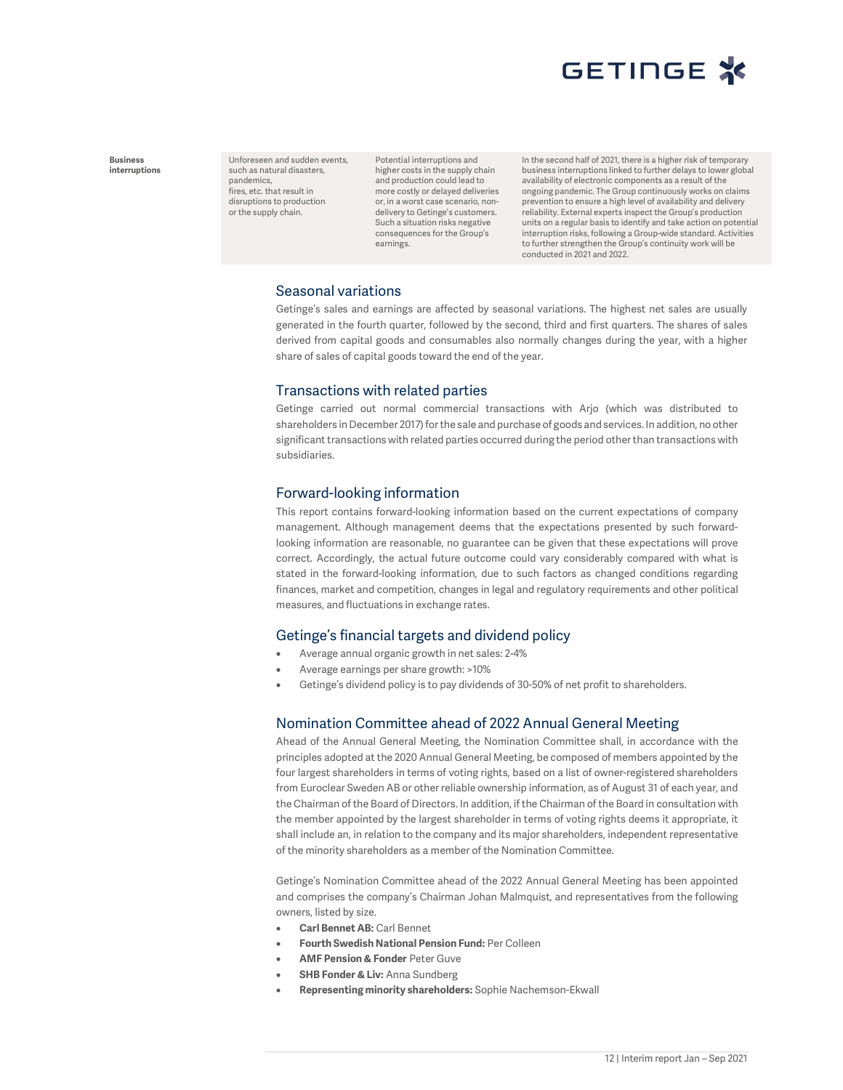

Business interruptions Unforeseen and sudden events, such as natural disasters, pandemics, fires, etc. that result in disruptions to production or the supply chain.

Potential interruptions and higher costs in the supply chain and production could lead to more costly or delayed deliveries or, in a worst case scenario, nondelivery to Getinge's customers. Such a situation risks negative consequences for the Group's earnings.

In the second half of 2021, there is a higher risk of temporary business interruptions linked to further delays to lower global availability of electronic components as a result of the ongoing pandemic. The Group continuously works on claims prevention to ensure a high level of availability and delivery reliability. External experts inspect the Group's production units on a regular basis to identify and take action on potential interruption risks, following a Group-wide standard. Activities to further strengthen the Group's continuity work will be conducted in 2021 and 2022.

#### Seasonal variations

Getinge's sales and earnings are affected by seasonal variations. The highest net sales are usually generated in the fourth quarter, followed by the second, third and first quarters. The shares of sales derived from capital goods and consumables also normally changes during the year, with a higher share of sales of capital goods toward the end of the year.

#### Transactions with related parties

Getinge carried out normal commercial transactions with Arjo (which was distributed to shareholders in December 2017) for the sale and purchase of goods and services. In addition, no other significant transactions with related parties occurred during the period other than transactions with subsidiaries.

#### Forward-looking information

This report contains forward-looking information based on the current expectations of company management. Although management deems that the expectations presented by such forwardlooking information are reasonable, no guarantee can be given that these expectations will prove correct. Accordingly, the actual future outcome could vary considerably compared with what is stated in the forward-looking information, due to such factors as changed conditions regarding finances, market and competition, changes in legal and regulatory requirements and other political measures, and fluctuations in exchange rates.

#### Getinge's financial targets and dividend policy

- Average annual organic growth in net sales: 2-4%
- Average earnings per share growth: >10%
- Getinge's dividend policy is to pay dividends of 30-50% of net profit to shareholders.

#### Nomination Committee ahead of 2022 Annual General Meeting

Ahead of the Annual General Meeting, the Nomination Committee shall, in accordance with the principles adopted at the 2020 Annual General Meeting, be composed of members appointed by the four largest shareholders in terms of voting rights, based on a list of owner-registered shareholders from Euroclear Sweden AB or other reliable ownership information, as of August 31 of each year, and the Chairman of the Board of Directors. In addition, if the Chairman of the Board in consultation with the member appointed by the largest shareholder in terms of voting rights deems it appropriate, it shall include an, in relation to the company and its major shareholders, independent representative of the minority shareholders as a member of the Nomination Committee.

Getinge's Nomination Committee ahead of the 2022 Annual General Meeting has been appointed and comprises the company's Chairman Johan Malmquist, and representatives from the following owners, listed by size.

- Carl Bennet AB: Carl Bennet
- Fourth Swedish National Pension Fund: Per Colleen
- AMF Pension & Fonder Peter Guve
- **SHB Fonder & Liv: Anna Sundberg**
- Representing minority shareholders: Sophie Nachemson-Ekwall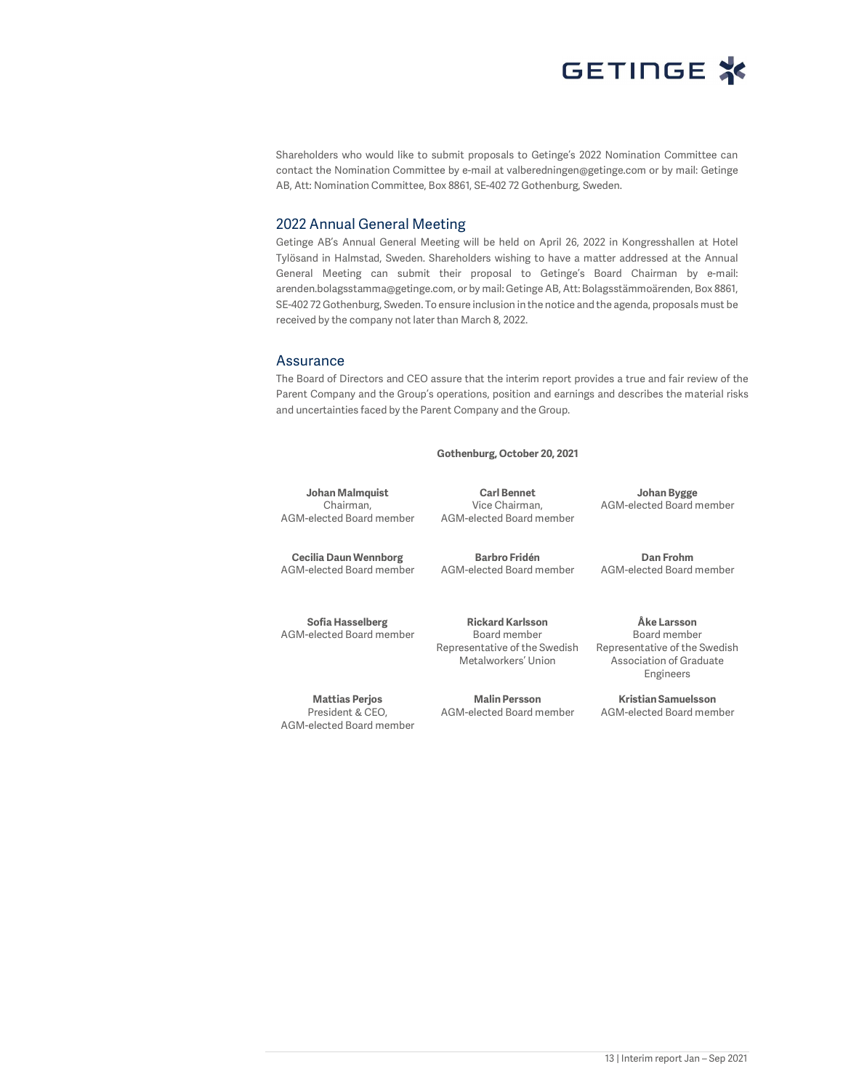

Shareholders who would like to submit proposals to Getinge's 2022 Nomination Committee can contact the Nomination Committee by e-mail at valberedningen@getinge.com or by mail: Getinge AB, Att: Nomination Committee, Box 8861, SE-402 72 Gothenburg, Sweden.

#### 2022 Annual General Meeting

Getinge AB's Annual General Meeting will be held on April 26, 2022 in Kongresshallen at Hotel Tylösand in Halmstad, Sweden. Shareholders wishing to have a matter addressed at the Annual General Meeting can submit their proposal to Getinge's Board Chairman by e-mail: arenden.bolagsstamma@getinge.com, or by mail: Getinge AB, Att: Bolagsstämmoärenden, Box 8861, SE-402 72 Gothenburg, Sweden. To ensure inclusion in the notice and the agenda, proposals must be received by the company not later than March 8, 2022.

#### Assurance

The Board of Directors and CEO assure that the interim report provides a true and fair review of the Parent Company and the Group's operations, position and earnings and describes the material risks and uncertainties faced by the Parent Company and the Group.

Gothenburg, October 20, 2021

Johan Malmquist Chairman, AGM-elected Board member

Carl Bennet Vice Chairman, AGM-elected Board member

Johan Bygge AGM-elected Board member

Dan Frohm AGM-elected Board member

Cecilia Daun Wennborg AGM-elected Board member

Barbro Fridén AGM-elected Board member

Sofia Hasselberg AGM-elected Board member

Mattias Perjos President & CEO, AGM-elected Board member

Rickard Karlsson Board member Representative of the Swedish Metalworkers' Union

Malin Persson AGM-elected Board member

Åke Larsson Board member Representative of the Swedish Association of Graduate Engineers

Kristian Samuelsson AGM-elected Board member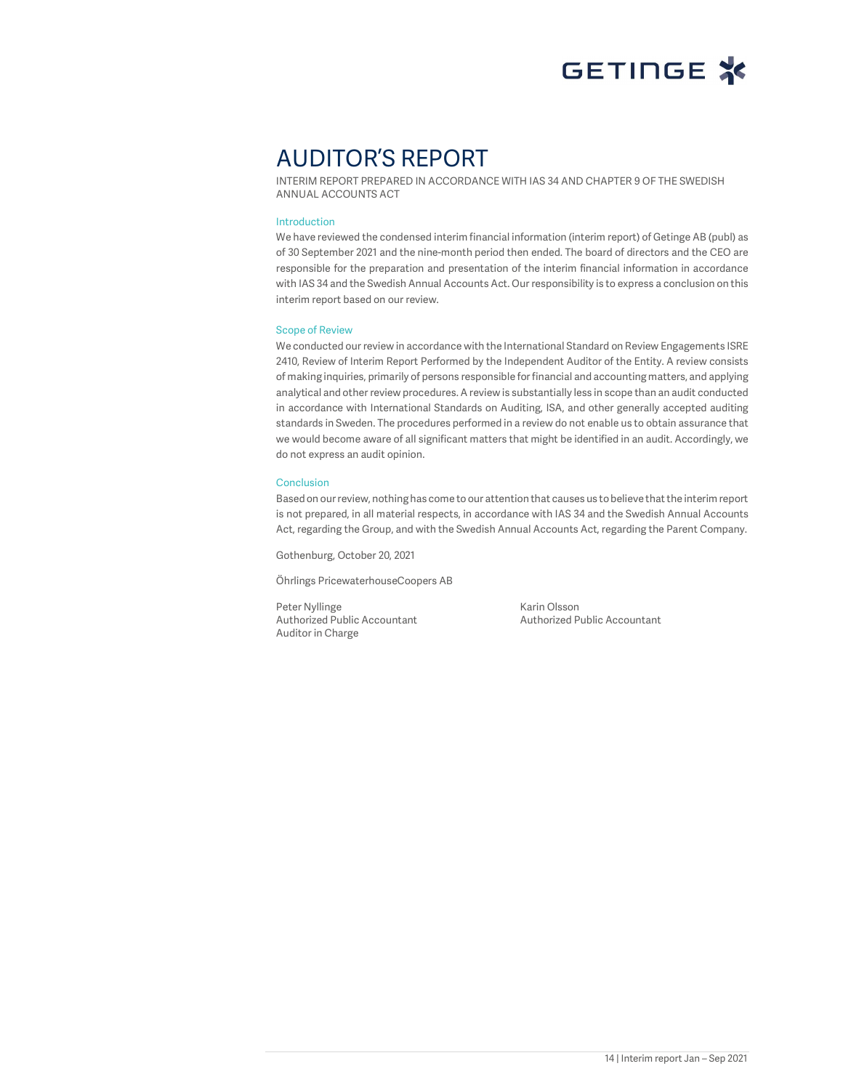

## AUDITOR'S REPORT

INTERIM REPORT PREPARED IN ACCORDANCE WITH IAS 34 AND CHAPTER 9 OF THE SWEDISH ANNUAL ACCOUNTS ACT

#### Introduction

We have reviewed the condensed interim financial information (interim report) of Getinge AB (publ) as of 30 September 2021 and the nine-month period then ended. The board of directors and the CEO are responsible for the preparation and presentation of the interim financial information in accordance with IAS 34 and the Swedish Annual Accounts Act. Our responsibility is to express a conclusion on this interim report based on our review.

#### Scope of Review

We conducted our review in accordance with the International Standard on Review Engagements ISRE 2410, Review of Interim Report Performed by the Independent Auditor of the Entity. A review consists of making inquiries, primarily of persons responsible for financial and accounting matters, and applying analytical and other review procedures. A review is substantially less in scope than an audit conducted in accordance with International Standards on Auditing, ISA, and other generally accepted auditing standards in Sweden. The procedures performed in a review do not enable us to obtain assurance that we would become aware of all significant matters that might be identified in an audit. Accordingly, we do not express an audit opinion.

#### Conclusion

Based on our review, nothing has come to our attention that causes us to believe that the interim report is not prepared, in all material respects, in accordance with IAS 34 and the Swedish Annual Accounts Act, regarding the Group, and with the Swedish Annual Accounts Act, regarding the Parent Company.

Gothenburg, October 20, 2021

Öhrlings PricewaterhouseCoopers AB

Peter Nyllinge<br>
Authorized Public Accountant<br>
Authorized Public Accountant<br>
Authorized Public Accountant Authorized Public Accountant Auditor in Charge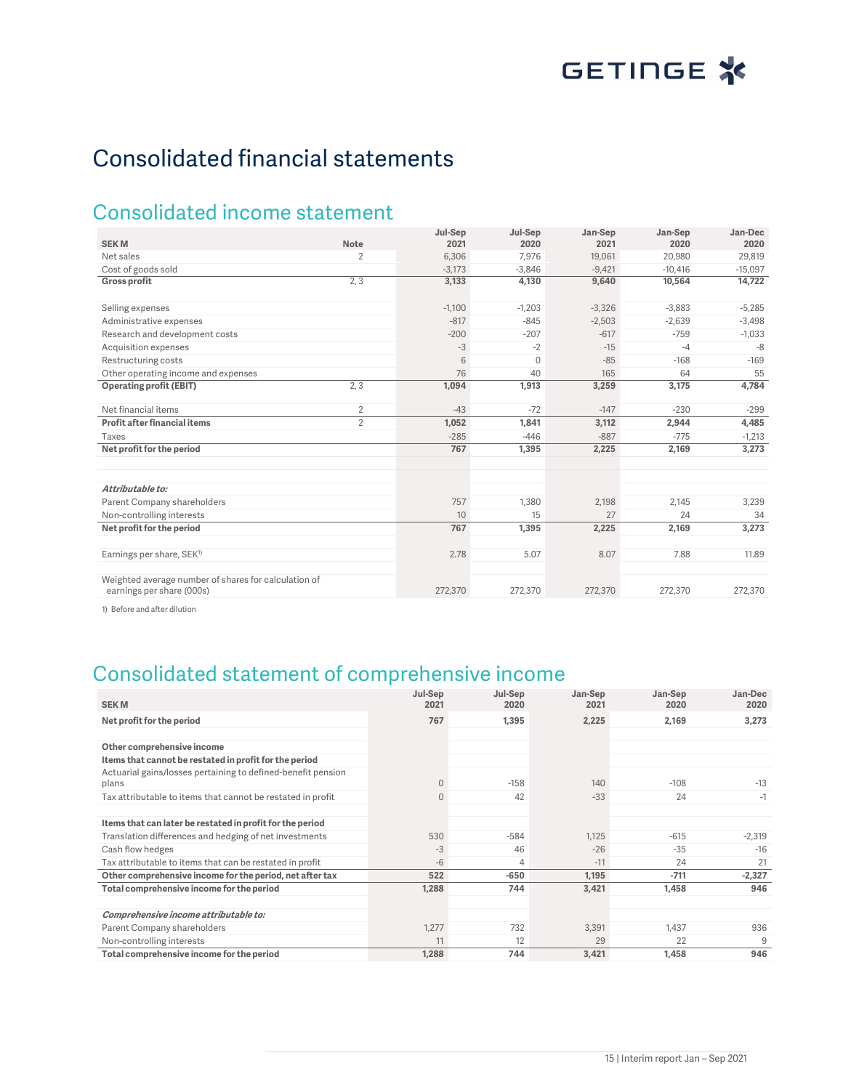## Consolidated financial statements

### Consolidated income statement

|                                                                                   |                | Jul-Sep  | Jul-Sep  | Jan-Sep  | Jan-Sep   | Jan-Dec   |
|-----------------------------------------------------------------------------------|----------------|----------|----------|----------|-----------|-----------|
| <b>SEKM</b>                                                                       | Note           | 2021     | 2020     | 2021     | 2020      | 2020      |
| Net sales                                                                         | 2              | 6.306    | 7,976    | 19,061   | 20,980    | 29,819    |
| Cost of goods sold                                                                |                | $-3,173$ | $-3.846$ | $-9,421$ | $-10,416$ | $-15,097$ |
| <b>Gross profit</b>                                                               | 2, 3           | 3,133    | 4,130    | 9,640    | 10,564    | 14,722    |
| Selling expenses                                                                  |                | $-1,100$ | $-1,203$ | $-3,326$ | $-3,883$  | $-5,285$  |
| Administrative expenses                                                           |                | $-817$   | $-845$   | $-2,503$ | $-2,639$  | $-3,498$  |
| Research and development costs                                                    |                | $-200$   | $-207$   | $-617$   | $-759$    | $-1,033$  |
| Acquisition expenses                                                              |                | $-3$     | $-2$     | $-15$    | $-4$      | $-8$      |
| Restructuring costs                                                               |                | 6        | 0        | $-85$    | $-168$    | $-169$    |
| Other operating income and expenses                                               |                | 76       | 40       | 165      | 64        | 55        |
| <b>Operating profit (EBIT)</b>                                                    | 2, 3           | 1,094    | 1,913    | 3,259    | 3,175     | 4,784     |
| Net financial items                                                               | $\overline{2}$ | $-43$    | $-72$    | $-147$   | $-230$    | $-299$    |
| Profit after financial items                                                      | $\overline{2}$ | 1,052    | 1,841    | 3,112    | 2,944     | 4,485     |
| <b>Taxes</b>                                                                      |                | $-285$   | $-446$   | $-887$   | $-775$    | $-1,213$  |
| Net profit for the period                                                         |                | 767      | 1,395    | 2,225    | 2,169     | 3,273     |
|                                                                                   |                |          |          |          |           |           |
| Attributable to:                                                                  |                |          |          |          |           |           |
| Parent Company shareholders                                                       |                | 757      | 1,380    | 2,198    | 2,145     | 3,239     |
| Non-controlling interests                                                         |                | 10       | 15       | 27       | 24        | 34        |
| Net profit for the period                                                         |                | 767      | 1,395    | 2,225    | 2,169     | 3,273     |
| Earnings per share, SEK <sup>1)</sup>                                             |                | 2.78     | 5.07     | 8.07     | 7.88      | 11.89     |
| Weighted average number of shares for calculation of<br>earnings per share (000s) |                | 272,370  | 272,370  | 272,370  | 272,370   | 272,370   |

1) Before and after dilution

## Consolidated statement of comprehensive income

| <b>SEKM</b>                                                  | Jul-Sep<br>2021 | Jul-Sep<br>2020 | Jan-Sep<br>2021 | Jan-Sep<br>2020 | Jan-Dec<br>2020 |
|--------------------------------------------------------------|-----------------|-----------------|-----------------|-----------------|-----------------|
| Net profit for the period                                    | 767             | 1,395           | 2,225           | 2,169           | 3,273           |
|                                                              |                 |                 |                 |                 |                 |
| Other comprehensive income                                   |                 |                 |                 |                 |                 |
| Items that cannot be restated in profit for the period       |                 |                 |                 |                 |                 |
| Actuarial gains/losses pertaining to defined-benefit pension |                 |                 |                 |                 |                 |
| plans                                                        | $\overline{0}$  | $-158$          | 140             | $-108$          | $-13$           |
| Tax attributable to items that cannot be restated in profit  | $\overline{0}$  | 42              | $-33$           | 24              | $-1$            |
|                                                              |                 |                 |                 |                 |                 |
| Items that can later be restated in profit for the period    |                 |                 |                 |                 |                 |
| Translation differences and hedging of net investments       | 530             | $-584$          | 1.125           | $-615$          | $-2,319$        |
| Cash flow hedges                                             | $-3$            | 46              | $-26$           | $-35$           | $-16$           |
| Tax attributable to items that can be restated in profit     | $-6$            | 4               | $-11$           | 24              | 21              |
| Other comprehensive income for the period, net after tax     | 522             | $-650$          | 1,195           | $-711$          | $-2,327$        |
| Total comprehensive income for the period                    | 1,288           | 744             | 3,421           | 1,458           | 946             |
|                                                              |                 |                 |                 |                 |                 |
| Comprehensive income attributable to:                        |                 |                 |                 |                 |                 |
| Parent Company shareholders                                  | 1,277           | 732             | 3,391           | 1,437           | 936             |
| Non-controlling interests                                    | 11              | 12              | 29              | 22              | 9               |
| Total comprehensive income for the period                    | 1,288           | 744             | 3,421           | 1,458           | 946             |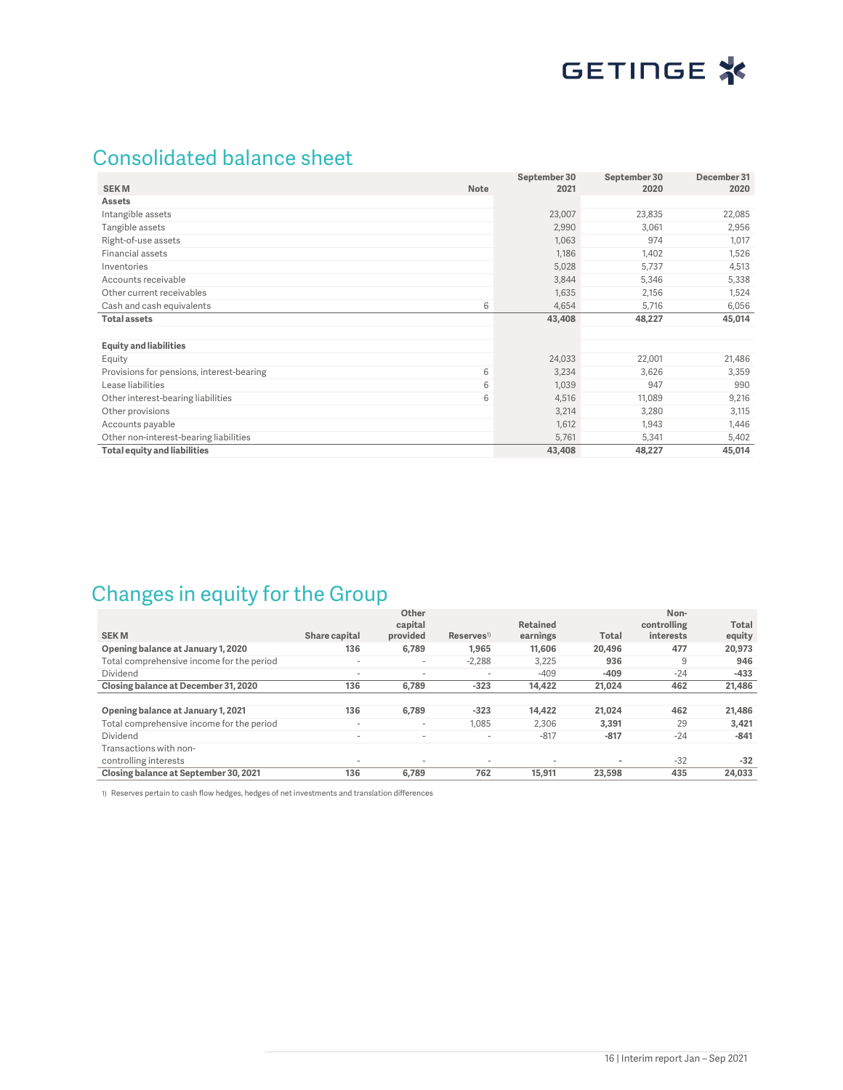## Consolidated balance sheet

|                                                | September 30 | September 30 | December 31 |
|------------------------------------------------|--------------|--------------|-------------|
| <b>SEKM</b><br><b>Note</b>                     | 2021         | 2020         | 2020        |
| <b>Assets</b>                                  |              |              |             |
| Intangible assets                              | 23,007       | 23,835       | 22,085      |
| Tangible assets                                | 2,990        | 3,061        | 2,956       |
| Right-of-use assets                            | 1,063        | 974          | 1,017       |
| Financial assets                               | 1,186        | 1,402        | 1,526       |
| Inventories                                    | 5,028        | 5,737        | 4,513       |
| Accounts receivable                            | 3,844        | 5,346        | 5,338       |
| Other current receivables                      | 1,635        | 2,156        | 1,524       |
| 6<br>Cash and cash equivalents                 | 4,654        | 5,716        | 6,056       |
| <b>Total assets</b>                            | 43,408       | 48,227       | 45,014      |
|                                                |              |              |             |
| <b>Equity and liabilities</b>                  |              |              |             |
| Equity                                         | 24,033       | 22,001       | 21,486      |
| Provisions for pensions, interest-bearing<br>6 | 3,234        | 3,626        | 3,359       |
| Lease liabilities<br>6                         | 1,039        | 947          | 990         |
| 6<br>Other interest-bearing liabilities        | 4,516        | 11,089       | 9,216       |
| Other provisions                               | 3,214        | 3,280        | 3,115       |
| Accounts payable                               | 1,612        | 1,943        | 1,446       |
| Other non-interest-bearing liabilities         | 5,761        | 5,341        | 5,402       |
| Total equity and liabilities                   | 43,408       | 48,227       | 45,014      |

## Changes in equity for the Group

|                                           |                          | Other                    |                          |          |        | Non-        |        |
|-------------------------------------------|--------------------------|--------------------------|--------------------------|----------|--------|-------------|--------|
|                                           |                          | capital                  |                          | Retained |        | controlling | Total  |
| <b>SEKM</b>                               | Share capital            | provided                 | $Reserves$ <sup>1)</sup> | earnings | Total  | interests   | equity |
| Opening balance at January 1, 2020        | 136                      | 6,789                    | 1,965                    | 11,606   | 20.496 | 477         | 20,973 |
| Total comprehensive income for the period |                          | $\sim$                   | $-2.288$                 | 3.225    | 936    | 9           | 946    |
| Dividend                                  | $\overline{\phantom{a}}$ | $\overline{\phantom{a}}$ | $\sim$                   | $-409$   | $-409$ | $-24$       | $-433$ |
| Closing balance at December 31, 2020      | 136                      | 6.789                    | $-323$                   | 14,422   | 21.024 | 462         | 21,486 |
|                                           |                          |                          |                          |          |        |             |        |
| Opening balance at January 1, 2021        | 136                      | 6.789                    | $-323$                   | 14.422   | 21.024 | 462         | 21.486 |
| Total comprehensive income for the period | ۰                        | $\overline{\phantom{a}}$ | 1.085                    | 2.306    | 3.391  | 29          | 3,421  |
| Dividend                                  | $\overline{\phantom{a}}$ | $\overline{\phantom{a}}$ | ۰                        | $-817$   | $-817$ | $-24$       | $-841$ |
| Transactions with non-                    |                          |                          |                          |          |        |             |        |
| controlling interests                     | -                        | $\overline{\phantom{a}}$ | $\overline{\phantom{a}}$ |          |        | $-32$       | $-32$  |
| Closing balance at September 30, 2021     | 136                      | 6.789                    | 762                      | 15.911   | 23.598 | 435         | 24.033 |

1) Reserves pertain to cash flow hedges, hedges of net investments and translation differences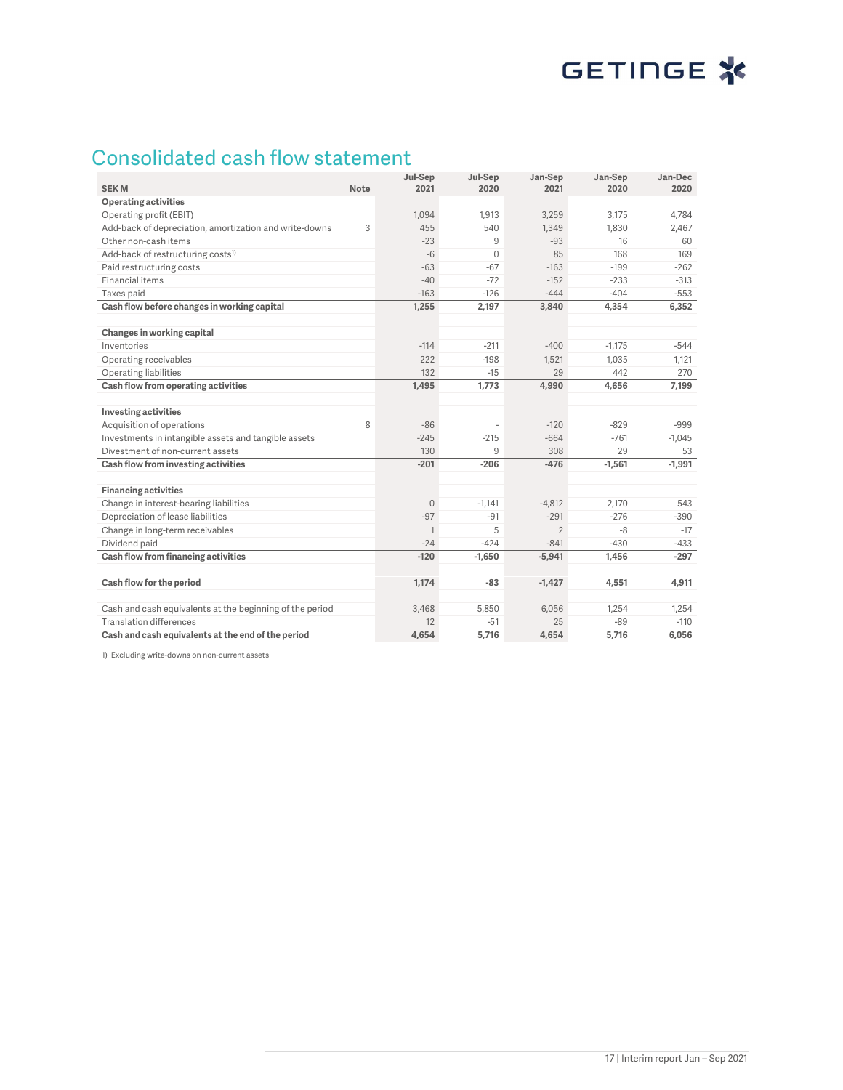# GETINGE<sup>\*</sup>

## Consolidated cash flow statement

| <b>SEKM</b>                                              | <b>Note</b> | Jul-Sep<br>2021 | Jul-Sep<br>2020 | Jan-Sep<br>2021 | Jan-Sep<br>2020 | Jan-Dec<br>2020 |
|----------------------------------------------------------|-------------|-----------------|-----------------|-----------------|-----------------|-----------------|
| <b>Operating activities</b>                              |             |                 |                 |                 |                 |                 |
| Operating profit (EBIT)                                  |             | 1,094           | 1,913           | 3,259           | 3,175           | 4.784           |
| Add-back of depreciation, amortization and write-downs   | 3           | 455             | 540             | 1,349           | 1,830           | 2,467           |
| Other non-cash items                                     |             | $-23$           | 9               | $-93$           | 16              | 60              |
| Add-back of restructuring costs <sup>1)</sup>            |             | $-6$            | $\Omega$        | 85              | 168             | 169             |
| Paid restructuring costs                                 |             | $-63$           | $-67$           | $-163$          | $-199$          | $-262$          |
| Financial items                                          |             | $-40$           | $-72$           | $-152$          | $-233$          | $-313$          |
| Taxes paid                                               |             | $-163$          | $-126$          | $-444$          | $-404$          | $-553$          |
| Cash flow before changes in working capital              |             | 1,255           | 2,197           | 3,840           | 4,354           | 6,352           |
|                                                          |             |                 |                 |                 |                 |                 |
| Changes in working capital                               |             |                 |                 |                 |                 |                 |
| Inventories                                              |             | $-114$          | $-211$          | $-400$          | $-1,175$        | $-544$          |
| Operating receivables                                    |             | 222             | $-198$          | 1,521           | 1,035           | 1,121           |
| Operating liabilities                                    |             | 132             | $-15$           | 29              | 442             | 270             |
| Cash flow from operating activities                      |             | 1,495           | 1,773           | 4,990           | 4,656           | 7,199           |
|                                                          |             |                 |                 |                 |                 |                 |
| <b>Investing activities</b>                              |             |                 |                 |                 |                 |                 |
| Acquisition of operations                                | 8           | $-86$           | J.              | $-120$          | $-829$          | $-999$          |
| Investments in intangible assets and tangible assets     |             | $-245$          | $-215$          | $-664$          | $-761$          | $-1.045$        |
| Divestment of non-current assets                         |             | 130             | 9               | 308             | 29              | 53              |
| Cash flow from investing activities                      |             | $-201$          | $-206$          | $-476$          | $-1,561$        | $-1,991$        |
|                                                          |             |                 |                 |                 |                 |                 |
| <b>Financing activities</b>                              |             |                 |                 |                 |                 |                 |
| Change in interest-bearing liabilities                   |             | $\mathbf{0}$    | $-1.141$        | $-4,812$        | 2.170           | 543             |
| Depreciation of lease liabilities                        |             | $-97$           | $-91$           | $-291$          | $-276$          | $-390$          |
| Change in long-term receivables                          |             | $\mathbf{1}$    | 5               | $\overline{2}$  | -8              | $-17$           |
| Dividend paid                                            |             | $-24$           | $-424$          | $-841$          | $-430$          | $-433$          |
| Cash flow from financing activities                      |             | $-120$          | $-1,650$        | $-5,941$        | 1,456           | $-297$          |
|                                                          |             |                 |                 |                 |                 |                 |
| Cash flow for the period                                 |             | 1,174           | $-83$           | $-1,427$        | 4,551           | 4,911           |
| Cash and cash equivalents at the beginning of the period |             | 3,468           | 5,850           | 6,056           | 1,254           | 1,254           |
| <b>Translation differences</b>                           |             | 12              | $-51$           | 25              | $-89$           | $-110$          |
| Cash and cash equivalents at the end of the period       |             | 4.654           | 5.716           | 4,654           | 5.716           | 6,056           |

1) Excluding write-downs on non-current assets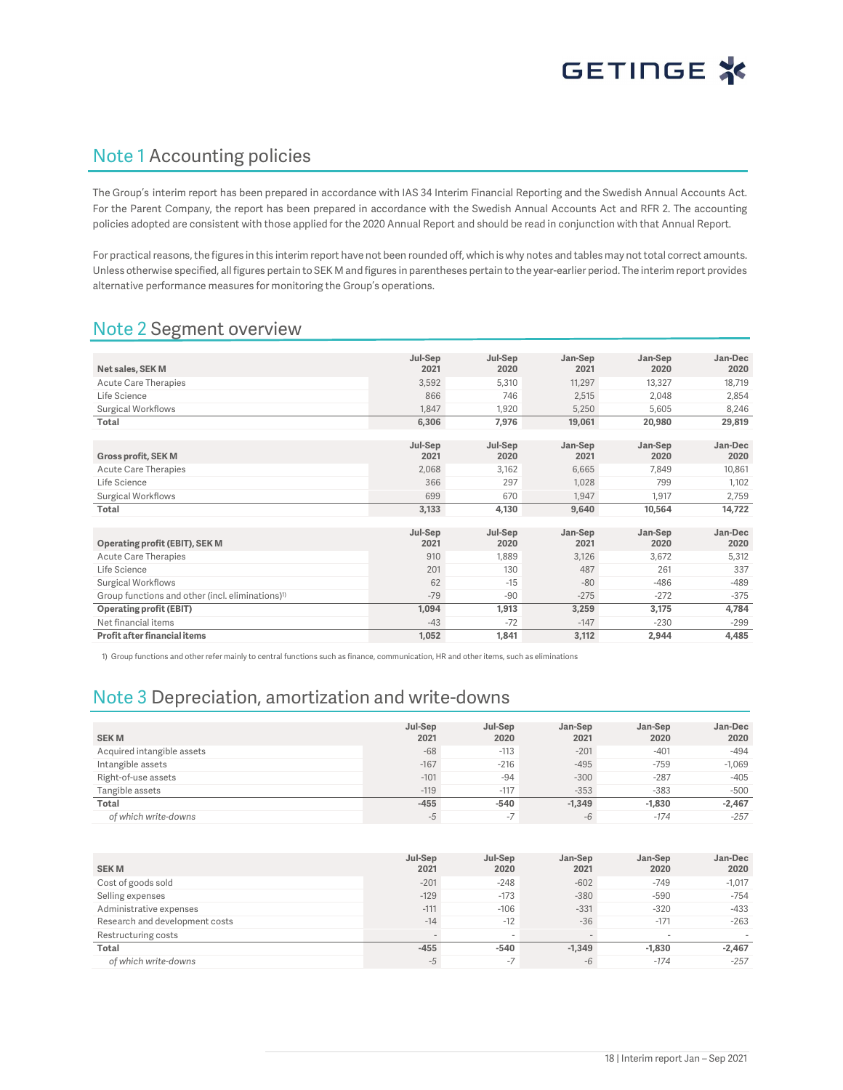### Note 1 Accounting policies

The Group's interim report has been prepared in accordance with IAS 34 Interim Financial Reporting and the Swedish Annual Accounts Act. For the Parent Company, the report has been prepared in accordance with the Swedish Annual Accounts Act and RFR 2. The accounting policies adopted are consistent with those applied for the 2020 Annual Report and should be read in conjunction with that Annual Report.

For practical reasons, the figures in this interim report have not been rounded off, which is why notes and tables may not total correct amounts. Unless otherwise specified, all figures pertain to SEK M and figures in parentheses pertain to the year-earlier period. The interim report provides alternative performance measures for monitoring the Group's operations.

### Note 2 Segment overview

|                                                              | Jul-Sep | Jul-Sep | Jan-Sep | Jan-Sep | Jan-Dec |
|--------------------------------------------------------------|---------|---------|---------|---------|---------|
| Net sales, SEK M                                             | 2021    | 2020    | 2021    | 2020    | 2020    |
| Acute Care Therapies                                         | 3,592   | 5,310   | 11,297  | 13,327  | 18,719  |
| Life Science                                                 | 866     | 746     | 2,515   | 2.048   | 2,854   |
| Surgical Workflows                                           | 1.847   | 1,920   | 5,250   | 5,605   | 8,246   |
| Total                                                        | 6,306   | 7,976   | 19,061  | 20,980  | 29,819  |
|                                                              |         |         |         |         |         |
|                                                              | Jul-Sep | Jul-Sep | Jan-Sep | Jan-Sep | Jan-Dec |
| <b>Gross profit, SEK M</b>                                   | 2021    | 2020    | 2021    | 2020    | 2020    |
| <b>Acute Care Therapies</b>                                  | 2,068   | 3,162   | 6,665   | 7,849   | 10,861  |
| Life Science                                                 | 366     | 297     | 1.028   | 799     | 1,102   |
| Surgical Workflows                                           | 699     | 670     | 1,947   | 1,917   | 2,759   |
| Total                                                        | 3,133   | 4,130   | 9,640   | 10,564  | 14,722  |
|                                                              |         |         |         |         |         |
|                                                              | Jul-Sep | Jul-Sep | Jan-Sep | Jan-Sep | Jan-Dec |
| Operating profit (EBIT), SEK M                               | 2021    | 2020    | 2021    | 2020    | 2020    |
| <b>Acute Care Therapies</b>                                  | 910     | 1,889   | 3,126   | 3,672   | 5,312   |
| Life Science                                                 | 201     | 130     | 487     | 261     | 337     |
| Surgical Workflows                                           | 62      | $-15$   | $-80$   | $-486$  | $-489$  |
| Group functions and other (incl. eliminations) <sup>1)</sup> | $-79$   | $-90$   | $-275$  | $-272$  | $-375$  |
| <b>Operating profit (EBIT)</b>                               | 1,094   | 1,913   | 3,259   | 3,175   | 4,784   |
| Net financial items                                          | $-43$   | $-72$   | $-147$  | $-230$  | $-299$  |
| Profit after financial items                                 | 1,052   | 1,841   | 3,112   | 2,944   | 4,485   |

1) Group functions and other refer mainly to central functions such as finance, communication, HR and other items, such as eliminations

### Note 3 Depreciation, amortization and write-downs

| <b>SEKM</b>                | Jul-Sep<br>2021 | Jul-Sep<br>2020          | Jan-Sep<br>2021 | Jan-Sep<br>2020 | Jan-Dec<br>2020 |
|----------------------------|-----------------|--------------------------|-----------------|-----------------|-----------------|
| Acquired intangible assets | $-68$           | $-113$                   | $-201$          | $-401$          | $-494$          |
| Intangible assets          | $-167$          | $-216$                   | $-495$          | $-759$          | $-1,069$        |
| Right-of-use assets        | $-101$          | $-94$                    | $-300$          | $-287$          | $-405$          |
| Tangible assets            | $-119$          | $-117$                   | $-353$          | $-383$          | $-500$          |
| Total                      | $-455$          | $-540$                   | $-1.349$        | $-1.830$        | $-2,467$        |
| of which write-downs       | -5              | $\overline{\phantom{0}}$ | $-6$            | $-174$          | $-257$          |

| <b>SEKM</b>                    | Jul-Sep<br>2021 | Jul-Sep<br>2020 | Jan-Sep<br>2021 | Jan-Sep<br>2020          | Jan-Dec<br>2020 |
|--------------------------------|-----------------|-----------------|-----------------|--------------------------|-----------------|
| Cost of goods sold             | $-201$          | $-248$          | $-602$          | $-749$                   | $-1,017$        |
| Selling expenses               | $-129$          | $-173$          | $-380$          | $-590$                   | $-754$          |
| Administrative expenses        | $-111$          | $-106$          | $-331$          | $-320$                   | $-433$          |
| Research and development costs | $-14$           | $-12$           | $-36$           | $-171$                   | $-263$          |
| Restructuring costs            |                 |                 |                 | $\overline{\phantom{a}}$ |                 |
| Total                          | $-455$          | $-540$          | $-1.349$        | $-1.830$                 | $-2.467$        |
| of which write-downs           | -5              | $-7$            | $-6$            | $-174$                   | $-257$          |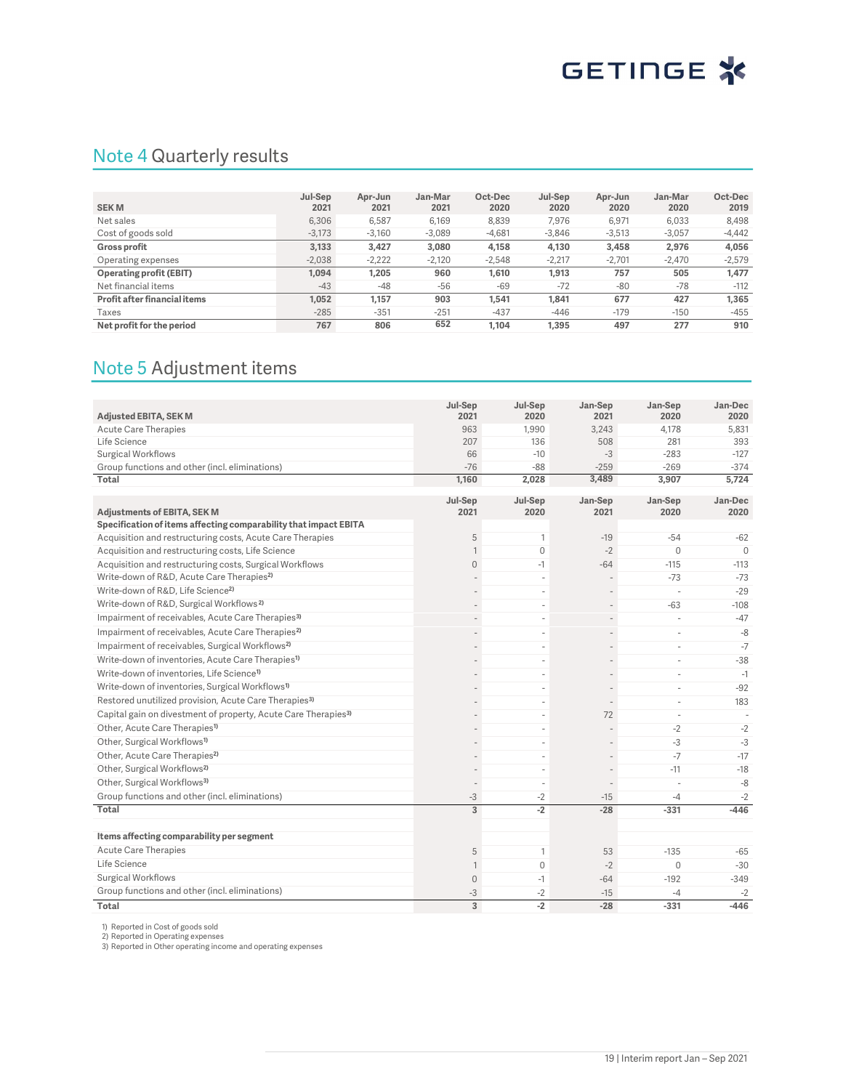### Note 4 Quarterly results

| <b>SEKM</b>                  | Jul-Sep<br>2021 | Apr-Jun<br>2021 | Jan-Mar<br>2021 | Oct-Dec<br>2020 | Jul-Sep<br>2020 | Apr-Jun<br>2020 | Jan-Mar<br>2020 | Oct-Dec<br>2019 |
|------------------------------|-----------------|-----------------|-----------------|-----------------|-----------------|-----------------|-----------------|-----------------|
| Net sales                    | 6,306           | 6,587           | 6,169           | 8.839           | 7,976           | 6,971           | 6,033           | 8,498           |
| Cost of goods sold           | $-3.173$        | $-3,160$        | $-3,089$        | $-4,681$        | $-3.846$        | $-3,513$        | $-3.057$        | $-4,442$        |
| <b>Gross profit</b>          | 3.133           | 3,427           | 3,080           | 4,158           | 4,130           | 3,458           | 2,976           | 4.056           |
| Operating expenses           | $-2.038$        | $-2.222$        | $-2.120$        | $-2.548$        | $-2.217$        | $-2.701$        | $-2.470$        | $-2.579$        |
| Operating profit (EBIT)      | 1.094           | 1,205           | 960             | 1.610           | 1,913           | 757             | 505             | 1,477           |
| Net financial items          | $-43$           | $-48$           | $-56$           | $-69$           | $-72$           | $-80$           | $-78$           | $-112$          |
| Profit after financial items | 1.052           | 1.157           | 903             | 1.541           | 1.841           | 677             | 427             | 1.365           |
| Taxes                        | $-285$          | $-351$          | $-251$          | $-437$          | -446            | $-179$          | $-150$          | $-455$          |
| Net profit for the period    | 767             | 806             | 652             | 1.104           | 1,395           | 497             | 277             | 910             |

### Note 5 Adjustment items

| Adjusted EBITA, SEK M                                                      | Jul-Sep<br>2021     | Jul-Sep<br>2020          | Jan-Sep<br>2021 | Jan-Sep<br>2020          | Jan-Dec<br>2020 |
|----------------------------------------------------------------------------|---------------------|--------------------------|-----------------|--------------------------|-----------------|
| <b>Acute Care Therapies</b>                                                | 963                 | 1.990                    | 3.243           | 4.178                    | 5.831           |
| Life Science                                                               | 207                 | 136                      | 508             | 281                      | 393             |
| <b>Surgical Workflows</b>                                                  | 66                  | $-10$                    | $-3$            | $-283$                   | $-127$          |
| Group functions and other (incl. eliminations)                             | $-76$               | $-88$                    | $-259$          | $-269$                   | $-374$          |
| Total                                                                      | 1,160               | 2,028                    | 3,489           | 3,907                    | 5,724           |
|                                                                            | Jul-Sep             | Jul-Sep                  | Jan-Sep         | Jan-Sep                  | Jan-Dec         |
| <b>Adjustments of EBITA, SEK M</b>                                         | 2021                | 2020                     | 2021            | 2020                     | 2020            |
| Specification of items affecting comparability that impact EBITA           |                     |                          |                 |                          |                 |
| Acquisition and restructuring costs, Acute Care Therapies                  | 5                   | 1                        | $-19$           | $-54$                    | $-62$           |
| Acquisition and restructuring costs, Life Science                          | $\mathbf{1}$        | $\mathbf{0}$             | $-2$            | $\mathbf{0}$             | $\Omega$        |
| Acquisition and restructuring costs, Surgical Workflows                    | $\mathbf{0}$        | $-1$                     | $-64$           | $-115$                   | $-113$          |
| Write-down of R&D, Acute Care Therapies <sup>2)</sup>                      |                     | ä,                       |                 | $-73$                    | $-73$           |
| Write-down of R&D, Life Science <sup>2)</sup>                              |                     | ä,                       |                 |                          | $-29$           |
| Write-down of R&D, Surgical Workflows <sup>2)</sup>                        |                     | ä,                       |                 | $-63$                    | $-108$          |
| Impairment of receivables, Acute Care Therapies <sup>3)</sup>              |                     | i.                       |                 |                          | $-47$           |
| Impairment of receivables, Acute Care Therapies <sup>2)</sup>              |                     | ä,                       |                 | ÷.                       | $-8$            |
| Impairment of receivables, Surgical Workflows <sup>2)</sup>                |                     | ä,                       |                 | $\sim$                   | $-7$            |
| Write-down of inventories, Acute Care Therapies <sup>1)</sup>              |                     | ä,                       |                 | $\sim$                   | $-38$           |
| Write-down of inventories, Life Science <sup>1)</sup>                      |                     | ÷                        |                 | $\sim$                   | $-1$            |
| Write-down of inventories, Surgical Workflows <sup>1)</sup>                |                     | ä,                       |                 | $\sim$                   | $-92$           |
| Restored unutilized provision, Acute Care Therapies <sup>3)</sup>          |                     | $\overline{\phantom{a}}$ | $\overline{a}$  | $\overline{\phantom{a}}$ | 183             |
| Capital gain on divestment of property, Acute Care Therapies <sup>3)</sup> |                     | ä,                       | 72              | ÷.                       |                 |
| Other, Acute Care Therapies <sup>1)</sup>                                  |                     | ÷                        |                 | $-2$                     | $-2$            |
| Other, Surgical Workflows <sup>1)</sup>                                    |                     | ä,                       |                 | $-3$                     | $-3$            |
| Other, Acute Care Therapies <sup>2)</sup>                                  |                     | ä,                       |                 | $-7$                     | $-17$           |
| Other, Surgical Workflows <sup>2)</sup>                                    |                     | i.                       |                 | $-11$                    | $-18$           |
| Other, Surgical Workflows <sup>3)</sup>                                    |                     | ä,                       |                 |                          | $-8$            |
| Group functions and other (incl. eliminations)                             | $-3$                | -2                       | $-15$           | $-4$                     | $-2$            |
| Total                                                                      | 3                   | $-2$                     | $-28$           | $-331$                   | $-446$          |
|                                                                            |                     |                          |                 |                          |                 |
| Items affecting comparability per segment                                  |                     |                          |                 |                          |                 |
| <b>Acute Care Therapies</b>                                                | 5                   | $\mathbf{1}$             | 53              | $-135$                   | $-65$           |
| Life Science                                                               | $\mathbf{1}$        | $\mathbf 0$              | $-2$            | $\mathbf{0}$             | $-30$           |
| <b>Surgical Workflows</b>                                                  | $\mathsf{O}\xspace$ | $-1$                     | $-64$           | $-192$                   | $-349$          |
| Group functions and other (incl. eliminations)                             | $-3$                | $-2$                     | $-15$           | $-4$                     | $-2$            |
| Total                                                                      | 3                   | $-2$                     | $-28$           | $-331$                   | $-446$          |

1) Reported in Cost of goods sold 2) Reported in Operating expenses 3) Reported in Other operating income and operating expenses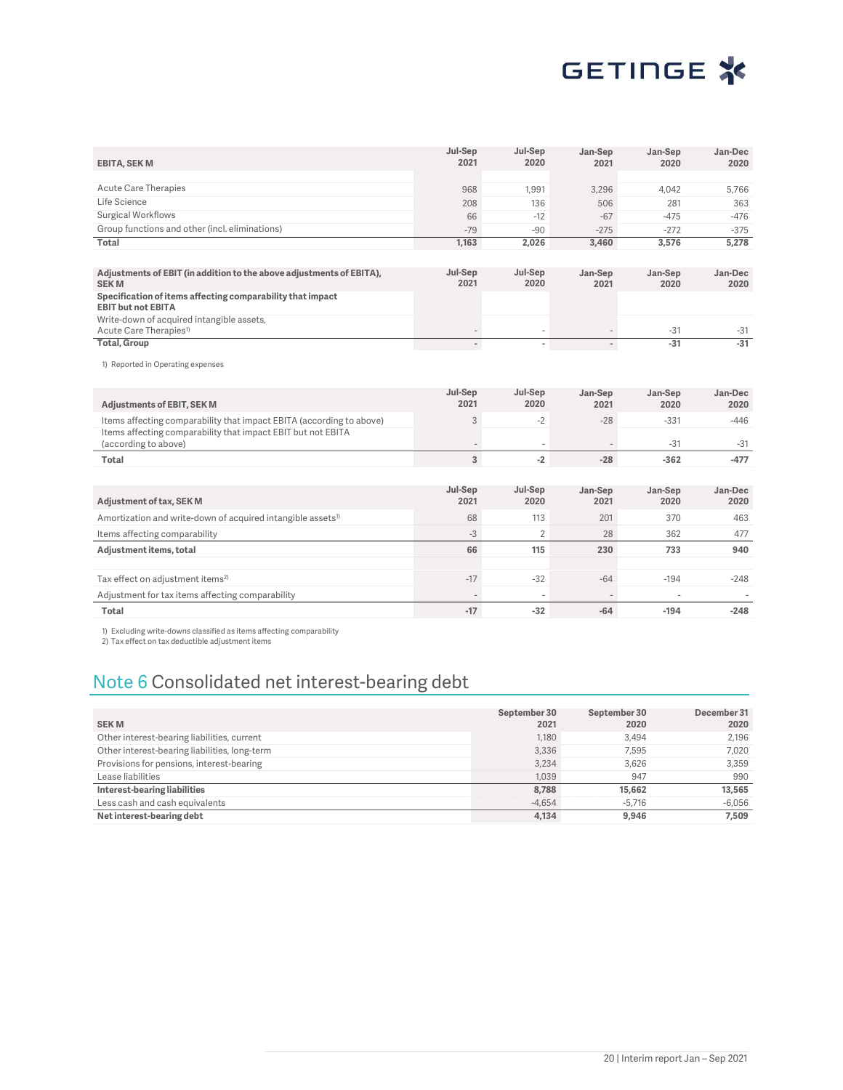

| <b>EBITA, SEK M</b>                                                                     | Jul-Sep<br>2021          | Jul-Sep<br>2020          | Jan-Sep<br>2021 | Jan-Sep<br>2020 | Jan-Dec<br>2020 |
|-----------------------------------------------------------------------------------------|--------------------------|--------------------------|-----------------|-----------------|-----------------|
|                                                                                         |                          |                          |                 |                 |                 |
| <b>Acute Care Therapies</b>                                                             | 968                      | 1,991                    | 3,296           | 4,042           | 5,766           |
| Life Science                                                                            | 208                      | 136                      | 506             | 281             | 363             |
| <b>Surgical Workflows</b>                                                               | 66                       | $-12$                    | $-67$           | $-475$          | $-476$          |
| Group functions and other (incl. eliminations)                                          | $-79$                    | $-90$                    | $-275$          | $-272$          | $-375$          |
| Total                                                                                   | 1,163                    | 2,026                    | 3,460           | 3,576           | 5,278           |
|                                                                                         |                          |                          |                 |                 |                 |
| Adjustments of EBIT (in addition to the above adjustments of EBITA),<br><b>SEKM</b>     | Jul-Sep<br>2021          | Jul-Sep<br>2020          | Jan-Sep<br>2021 | Jan-Sep<br>2020 | Jan-Dec<br>2020 |
| Specification of items affecting comparability that impact<br><b>EBIT but not EBITA</b> |                          |                          |                 |                 |                 |
| Write-down of acquired intangible assets,<br>Acute Care Therapies <sup>1)</sup>         |                          |                          |                 | $-31$           | $-31$           |
| <b>Total, Group</b>                                                                     | $\overline{\phantom{a}}$ | $\blacksquare$           | $\sim$          | $-31$           | $-31$           |
| 1) Reported in Operating expenses                                                       |                          |                          |                 |                 |                 |
| <b>Adjustments of EBIT, SEK M</b>                                                       | Jul-Sep<br>2021          | Jul-Sep<br>2020          | Jan-Sep<br>2021 | Jan-Sep<br>2020 | Jan-Dec<br>2020 |
| Items affecting comparability that impact EBITA (according to above)                    | 3                        | $-2$                     | $-28$           | $-331$          | $-446$          |
| Items affecting comparability that impact EBIT but not EBITA<br>(according to above)    |                          | $\overline{\phantom{m}}$ |                 | $-31$           | $-31$           |
| Total                                                                                   | $\overline{3}$           | $-2$                     | $-28$           | $-362$          | $-477$          |
|                                                                                         |                          |                          |                 |                 |                 |
| Adjustment of tax, SEK M                                                                | Jul-Sep<br>2021          | Jul-Sep<br>2020          | Jan-Sep<br>2021 | Jan-Sep<br>2020 | Jan-Dec<br>2020 |
| Amortization and write-down of acquired intangible assets <sup>1)</sup>                 | 68                       | 113                      | 201             | 370             | 463             |
| Items affecting comparability                                                           | $-3$                     | $\overline{2}$           | 28              | 362             | 477             |
| Adjustment items, total                                                                 | 66                       | 115                      | 230             | 733             | 940             |
| Tax effect on adjustment items <sup>2)</sup>                                            | $-17$                    | $-32$                    | $-64$           | $-194$          | $-248$          |
| Adjustment for tax items affecting comparability                                        |                          | ÷                        |                 |                 |                 |
| Total                                                                                   | $-17$                    | $-32$                    | $-64$           | $-194$          | $-248$          |

1) Excluding write-downs classified as items affecting comparability 2) Tax effect on tax deductible adjustment items

## Note 6 Consolidated net interest-bearing debt

| <b>SEKM</b>                                   | September 30<br>2021 | September 30<br>2020 | December 31<br>2020 |
|-----------------------------------------------|----------------------|----------------------|---------------------|
| Other interest-bearing liabilities, current   | 1.180                | 3.494                | 2.196               |
| Other interest-bearing liabilities, long-term | 3,336                | 7.595                | 7.020               |
| Provisions for pensions, interest-bearing     | 3,234                | 3.626                | 3.359               |
| Lease liabilities                             | 1.039                | 947                  | 990                 |
| Interest-bearing liabilities                  | 8,788                | 15.662               | 13,565              |
| Less cash and cash equivalents                | $-4.654$             | $-5.716$             | $-6,056$            |
| Net interest-bearing debt                     | 4,134                | 9.946                | 7.509               |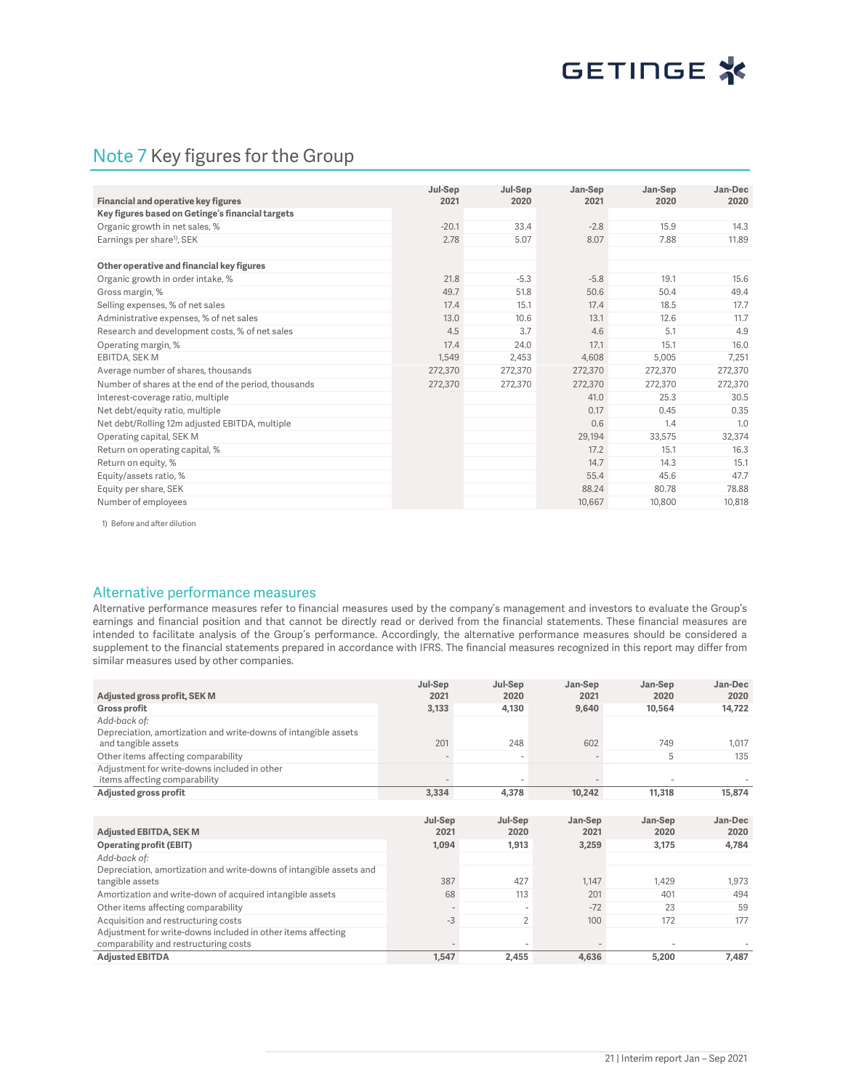### Note 7 Key figures for the Group

| Financial and operative key figures                  | Jul-Sep<br>2021 | Jul-Sep<br>2020 | Jan-Sep<br>2021 | Jan-Sep<br>2020 | Jan-Dec<br>2020 |
|------------------------------------------------------|-----------------|-----------------|-----------------|-----------------|-----------------|
| Key figures based on Getinge's financial targets     |                 |                 |                 |                 |                 |
| Organic growth in net sales, %                       | $-20.1$         | 33.4            | $-2.8$          | 15.9            | 14.3            |
| Earnings per share <sup>1)</sup> , SEK               | 2.78            | 5.07            | 8.07            | 7.88            | 11.89           |
|                                                      |                 |                 |                 |                 |                 |
| Other operative and financial key figures            |                 |                 |                 |                 |                 |
| Organic growth in order intake, %                    | 21.8            | $-5.3$          | $-5.8$          | 19.1            | 15.6            |
| Gross margin, %                                      | 49.7            | 51.8            | 50.6            | 50.4            | 49.4            |
| Selling expenses, % of net sales                     | 17.4            | 15.1            | 17.4            | 18.5            | 17.7            |
| Administrative expenses, % of net sales              | 13.0            | 10.6            | 13.1            | 12.6            | 11.7            |
| Research and development costs, % of net sales       | 4.5             | 3.7             | 4.6             | 5.1             | 4.9             |
| Operating margin, %                                  | 17.4            | 24.0            | 17.1            | 15.1            | 16.0            |
| EBITDA, SEK M                                        | 1,549           | 2,453           | 4.608           | 5,005           | 7.251           |
| Average number of shares, thousands                  | 272,370         | 272,370         | 272,370         | 272,370         | 272,370         |
| Number of shares at the end of the period, thousands | 272,370         | 272,370         | 272,370         | 272,370         | 272,370         |
| Interest-coverage ratio, multiple                    |                 |                 | 41.0            | 25.3            | 30.5            |
| Net debt/equity ratio, multiple                      |                 |                 | 0.17            | 0.45            | 0.35            |
| Net debt/Rolling 12m adjusted EBITDA, multiple       |                 |                 | 0.6             | 1.4             | 1.0             |
| Operating capital, SEK M                             |                 |                 | 29,194          | 33,575          | 32,374          |
| Return on operating capital, %                       |                 |                 | 17.2            | 15.1            | 16.3            |
| Return on equity, %                                  |                 |                 | 14.7            | 14.3            | 15.1            |
| Equity/assets ratio, %                               |                 |                 | 55.4            | 45.6            | 47.7            |
| Equity per share, SEK                                |                 |                 | 88.24           | 80.78           | 78.88           |
| Number of employees                                  |                 |                 | 10.667          | 10,800          | 10.818          |

1) Before and after dilution

#### Alternative performance measures

Alternative performance measures refer to financial measures used by the company's management and investors to evaluate the Group's earnings and financial position and that cannot be directly read or derived from the financial statements. These financial measures are intended to facilitate analysis of the Group's performance. Accordingly, the alternative performance measures should be considered a supplement to the financial statements prepared in accordance with IFRS. The financial measures recognized in this report may differ from similar measures used by other companies.

|                                                                     | Jul-Sep                  | Jul-Sep                  | Jan-Sep | Jan-Sep | Jan-Dec |
|---------------------------------------------------------------------|--------------------------|--------------------------|---------|---------|---------|
| Adjusted gross profit, SEK M                                        | 2021                     | 2020                     | 2021    | 2020    | 2020    |
| <b>Gross profit</b>                                                 | 3,133                    | 4,130                    | 9,640   | 10,564  | 14,722  |
| Add-back of:                                                        |                          |                          |         |         |         |
| Depreciation, amortization and write-downs of intangible assets     |                          |                          |         |         |         |
| and tangible assets                                                 | 201                      | 248                      | 602     | 749     | 1,017   |
| Other items affecting comparability                                 | $\overline{\phantom{a}}$ |                          |         | 5       | 135     |
| Adjustment for write-downs included in other                        |                          |                          |         |         |         |
| items affecting comparability                                       |                          |                          |         |         |         |
| Adjusted gross profit                                               | 3,334                    | 4,378                    | 10,242  | 11,318  | 15,874  |
|                                                                     |                          |                          |         |         |         |
|                                                                     | Jul-Sep                  | Jul-Sep                  | Jan-Sep | Jan-Sep | Jan-Dec |
| <b>Adjusted EBITDA, SEK M</b>                                       | 2021                     | 2020                     | 2021    | 2020    | 2020    |
| <b>Operating profit (EBIT)</b>                                      | 1,094                    | 1,913                    | 3,259   | 3,175   | 4,784   |
| Add-back of:                                                        |                          |                          |         |         |         |
| Depreciation, amortization and write-downs of intangible assets and |                          |                          |         |         |         |
| tangible assets                                                     | 387                      | 427                      | 1,147   | 1,429   | 1,973   |
| Amortization and write-down of acquired intangible assets           | 68                       | 113                      | 201     | 401     | 494     |
| Other items affecting comparability                                 |                          | $\overline{\phantom{a}}$ | $-72$   | 23      | 59      |
| Acquisition and restructuring costs                                 | $-3$                     | 2                        | 100     | 172     | 177     |
| Adjustment for write-downs included in other items affecting        |                          |                          |         |         |         |
| comparability and restructuring costs                               |                          |                          |         |         |         |
| <b>Adjusted EBITDA</b>                                              | 1,547                    | 2,455                    | 4,636   | 5,200   | 7,487   |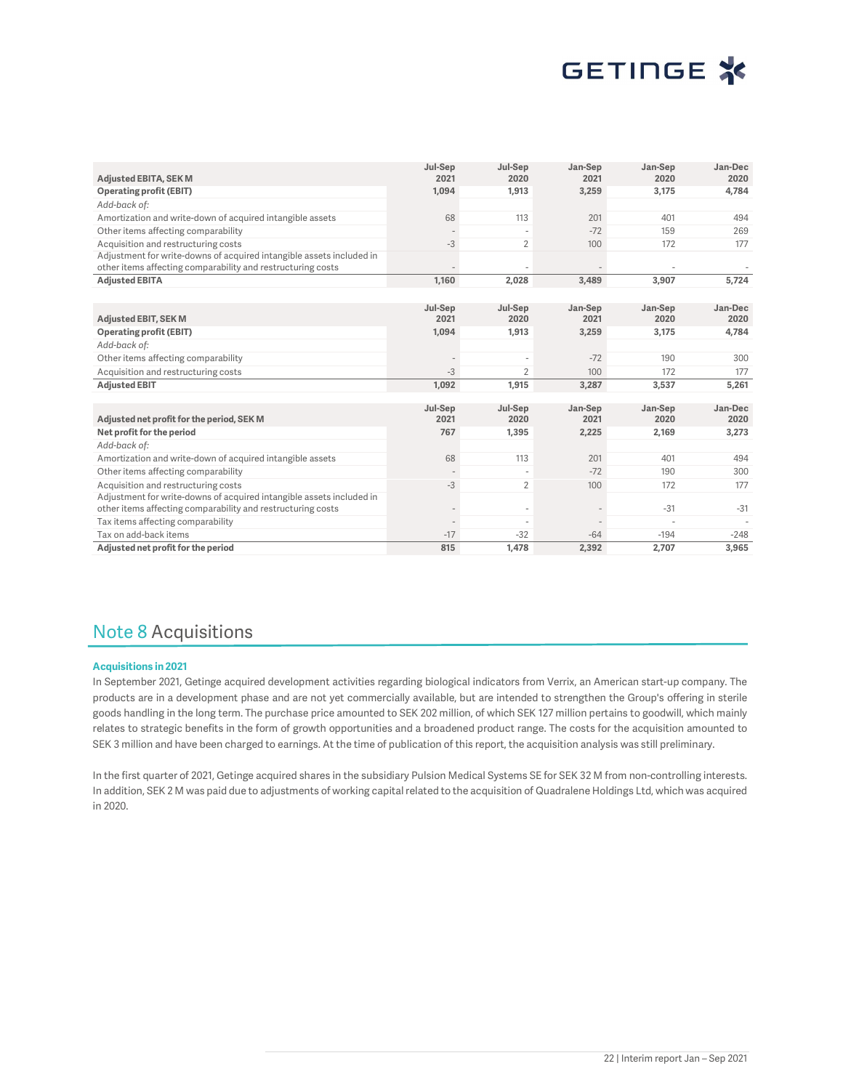|                                                                                                                                     | Jul-Sep | Jul-Sep        | Jan-Sep | Jan-Sep | Jan-Dec |
|-------------------------------------------------------------------------------------------------------------------------------------|---------|----------------|---------|---------|---------|
| <b>Adjusted EBITA, SEK M</b>                                                                                                        | 2021    | 2020           | 2021    | 2020    | 2020    |
| <b>Operating profit (EBIT)</b>                                                                                                      | 1,094   | 1,913          | 3,259   | 3,175   | 4,784   |
| Add-back of:                                                                                                                        |         |                |         |         |         |
| Amortization and write-down of acquired intangible assets                                                                           | 68      | 113            | 201     | 401     | 494     |
| Other items affecting comparability                                                                                                 |         |                | $-72$   | 159     | 269     |
| Acquisition and restructuring costs                                                                                                 | $-3$    | $\overline{2}$ | 100     | 172     | 177     |
| Adjustment for write-downs of acquired intangible assets included in<br>other items affecting comparability and restructuring costs |         |                |         |         |         |
| <b>Adjusted EBITA</b>                                                                                                               | 1.160   | 2,028          | 3,489   | 3,907   | 5,724   |
|                                                                                                                                     |         |                |         |         |         |
|                                                                                                                                     | Jul-Sep | Jul-Sep        | Jan-Sep | Jan-Sep | Jan-Dec |
| <b>Adjusted EBIT, SEK M</b>                                                                                                         | 2021    | 2020           | 2021    | 2020    | 2020    |
| <b>Operating profit (EBIT)</b>                                                                                                      | 1,094   | 1,913          | 3,259   | 3,175   | 4,784   |
| Add-back of:                                                                                                                        |         |                |         |         |         |
| Other items affecting comparability                                                                                                 |         |                | $-72$   | 190     | 300     |
| Acquisition and restructuring costs                                                                                                 | $-3$    | $\overline{2}$ | 100     | 172     | 177     |
| <b>Adjusted EBIT</b>                                                                                                                | 1,092   | 1,915          | 3,287   | 3,537   | 5,261   |
|                                                                                                                                     |         |                |         |         |         |
|                                                                                                                                     | Jul-Sep | Jul-Sep        | Jan-Sep | Jan-Sep | Jan-Dec |
| Adjusted net profit for the period, SEK M                                                                                           | 2021    | 2020           | 2021    | 2020    | 2020    |
| Net profit for the period                                                                                                           | 767     | 1,395          | 2,225   | 2,169   | 3,273   |
| Add-back of:                                                                                                                        |         |                |         |         |         |
| Amortization and write-down of acquired intangible assets                                                                           | 68      | 113            | 201     | 401     | 494     |
| Other items affecting comparability                                                                                                 |         |                | $-72$   | 190     | 300     |
| Acquisition and restructuring costs                                                                                                 | $-3$    | $\overline{2}$ | 100     | 172     | 177     |
| Adjustment for write-downs of acquired intangible assets included in<br>other items affecting comparability and restructuring costs |         |                |         | $-31$   | $-31$   |
| Tax items affecting comparability                                                                                                   |         |                |         |         |         |
| Tax on add-back items                                                                                                               | $-17$   | $-32$          | $-64$   | $-194$  | $-248$  |
| Adjusted net profit for the period                                                                                                  | 815     | 1,478          | 2,392   | 2,707   | 3,965   |

### Note 8 Acquisitions

#### Acquisitions in 2021

In September 2021, Getinge acquired development activities regarding biological indicators from Verrix, an American start-up company. The products are in a development phase and are not yet commercially available, but are intended to strengthen the Group's offering in sterile goods handling in the long term. The purchase price amounted to SEK 202 million, of which SEK 127 million pertains to goodwill, which mainly relates to strategic benefits in the form of growth opportunities and a broadened product range. The costs for the acquisition amounted to SEK 3 million and have been charged to earnings. At the time of publication of this report, the acquisition analysis was still preliminary.

In the first quarter of 2021, Getinge acquired shares in the subsidiary Pulsion Medical Systems SE for SEK 32 M from non-controlling interests. In addition, SEK 2 M was paid due to adjustments of working capital related to the acquisition of Quadralene Holdings Ltd, which was acquired in 2020.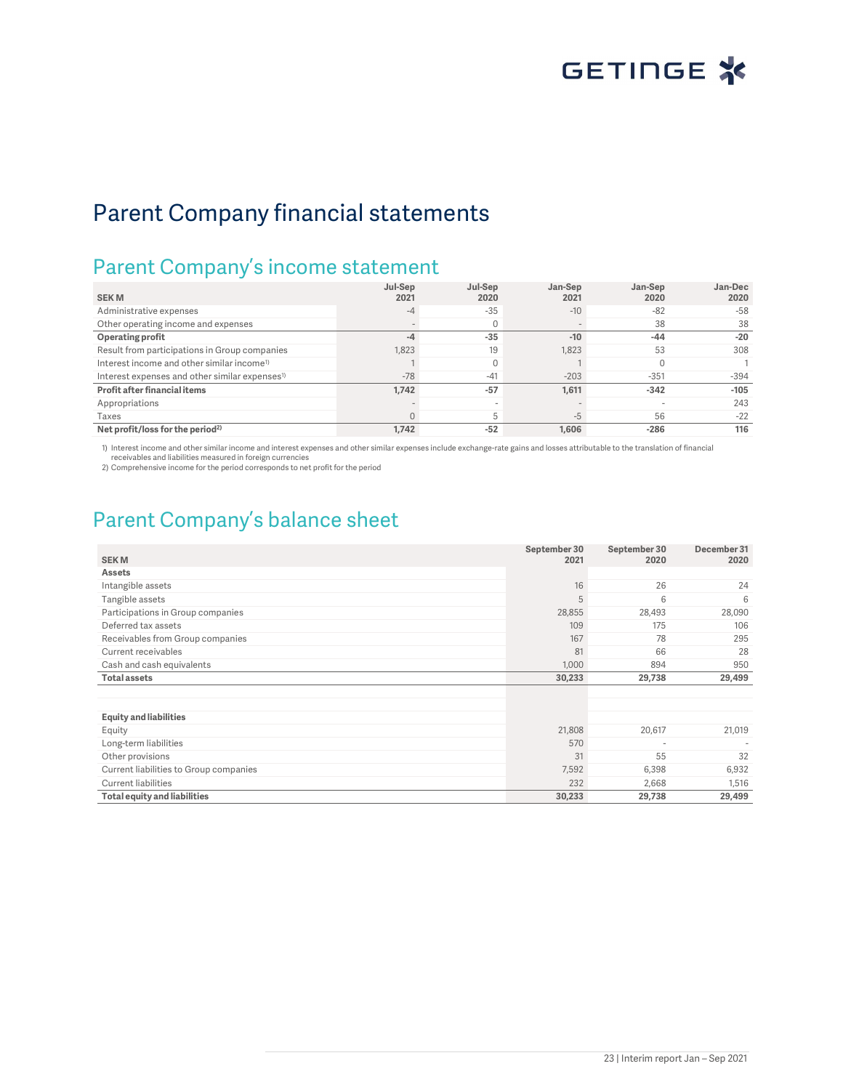## Parent Company financial statements

## Parent Company's income statement

|                                                            | Jul-Sep  | Jul-Sep | Jan-Sep | Jan-Sep | Jan-Dec |
|------------------------------------------------------------|----------|---------|---------|---------|---------|
| <b>SEKM</b>                                                | 2021     | 2020    | 2021    | 2020    | 2020    |
| Administrative expenses                                    | $-4$     | $-35$   | $-10$   | $-82$   | $-58$   |
| Other operating income and expenses                        |          |         |         | 38      | 38      |
| Operating profit                                           | $-4$     | $-35$   | $-10$   | $-44$   | $-20$   |
| Result from participations in Group companies              | 1,823    | 19      | 1,823   | 53      | 308     |
| Interest income and other similar income <sup>1)</sup>     |          |         |         |         |         |
| Interest expenses and other similar expenses <sup>1)</sup> | $-78$    | $-41$   | $-203$  | $-351$  | $-394$  |
| Profit after financial items                               | 1,742    | $-57$   | 1,611   | $-342$  | $-105$  |
| Appropriations                                             |          |         |         |         | 243     |
| Taxes                                                      | $\Omega$ |         | -5      | 56      | $-22$   |
| Net profit/loss for the period <sup>2)</sup>               | 1.742    | $-52$   | 1,606   | $-286$  | 116     |

1) Interest income and other similar income and interest expenses and other similar expenses include exchange-rate gains and losses attributable to the translation of financial<br>receivables and liabilities measured in forei

2) Comprehensive income for the period corresponds to net profit for the period

### Parent Company's balance sheet

| <b>SEKM</b>                            | September 30<br>2021 | September 30<br>2020     | December 31<br>2020 |
|----------------------------------------|----------------------|--------------------------|---------------------|
| <b>Assets</b>                          |                      |                          |                     |
| Intangible assets                      | 16                   | 26                       | 24                  |
| Tangible assets                        | 5                    | 6                        | 6                   |
| Participations in Group companies      | 28,855               | 28,493                   | 28,090              |
| Deferred tax assets                    | 109                  | 175                      | 106                 |
| Receivables from Group companies       | 167                  | 78                       | 295                 |
| Current receivables                    | 81                   | 66                       | 28                  |
| Cash and cash equivalents              | 1,000                | 894                      | 950                 |
| <b>Total assets</b>                    | 30,233               | 29,738                   | 29,499              |
|                                        |                      |                          |                     |
|                                        |                      |                          |                     |
| <b>Equity and liabilities</b>          |                      |                          |                     |
| Equity                                 | 21,808               | 20,617                   | 21,019              |
| Long-term liabilities                  | 570                  | $\overline{\phantom{a}}$ |                     |
| Other provisions                       | 31                   | 55                       | 32                  |
| Current liabilities to Group companies | 7,592                | 6,398                    | 6,932               |
| <b>Current liabilities</b>             | 232                  | 2,668                    | 1,516               |
| <b>Total equity and liabilities</b>    | 30,233               | 29,738                   | 29,499              |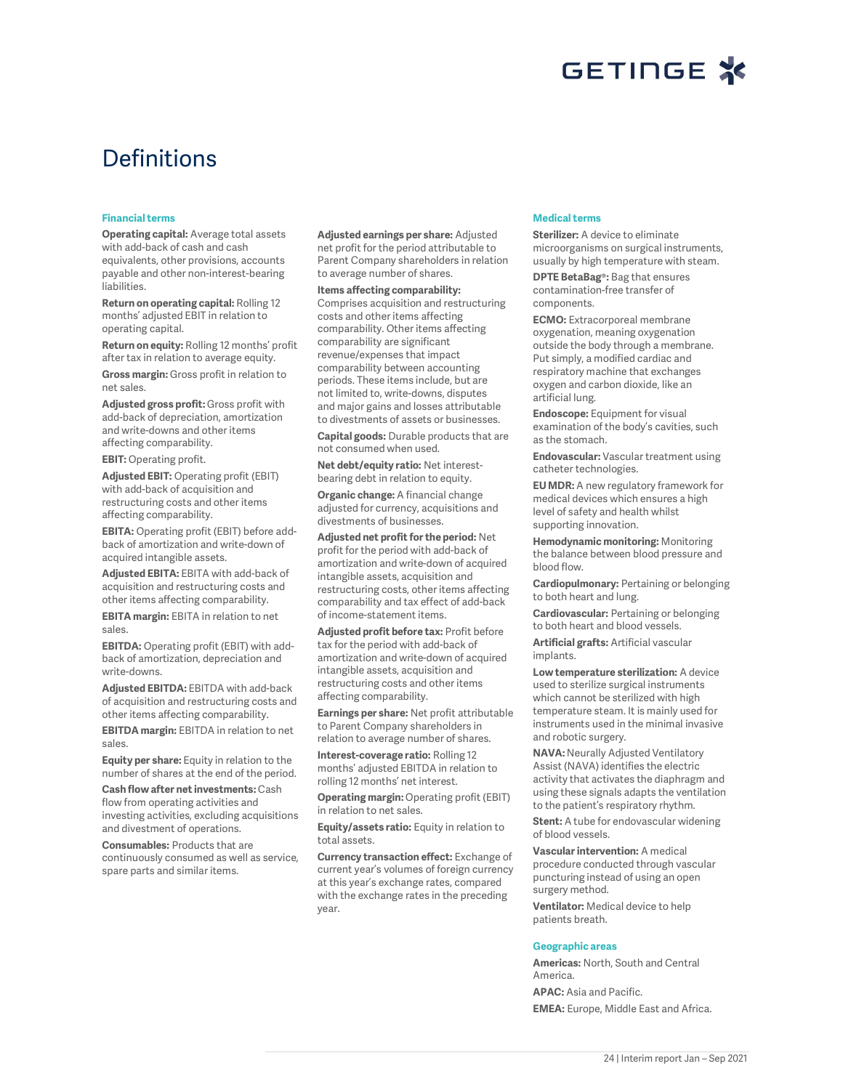

## **Definitions**

#### Financial terms

Operating capital: Average total assets with add-back of cash and cash equivalents, other provisions, accounts payable and other non-interest-bearing liabilities.

Return on operating capital: Rolling 12 months' adjusted EBIT in relation to operating capital.

Return on equity: Rolling 12 months' profit after tax in relation to average equity.

Gross margin: Gross profit in relation to net sales.

Adjusted gross profit: Gross profit with add-back of depreciation, amortization and write-downs and other items affecting comparability.

EBIT: Operating profit.

Adjusted EBIT: Operating profit (EBIT) with add-back of acquisition and restructuring costs and other items affecting comparability.

EBITA: Operating profit (EBIT) before addback of amortization and write-down of acquired intangible assets.

Adjusted EBITA: EBITA with add-back of acquisition and restructuring costs and other items affecting comparability.

EBITA margin: EBITA in relation to net sales.

EBITDA: Operating profit (EBIT) with addback of amortization, depreciation and write-downs.

Adjusted EBITDA: EBITDA with add-back of acquisition and restructuring costs and other items affecting comparability.

EBITDA margin: EBITDA in relation to net sales.

Equity per share: Equity in relation to the number of shares at the end of the period.

Cash flow after net investments:Cash flow from operating activities and investing activities, excluding acquisitions and divestment of operations.

Consumables: Products that are continuously consumed as well as service, spare parts and similar items.

Adjusted earnings per share: Adjusted net profit for the period attributable to Parent Company shareholders in relation to average number of shares.

Items affecting comparability: Comprises acquisition and restructuring costs and other items affecting comparability. Other items affecting comparability are significant revenue/expenses that impact comparability between accounting periods. These items include, but are not limited to, write-downs, disputes and major gains and losses attributable to divestments of assets or businesses.

Capital goods: Durable products that are not consumed when used.

Net debt/equity ratio: Net interestbearing debt in relation to equity.

Organic change: A financial change adjusted for currency, acquisitions and divestments of businesses.

Adjusted net profit for the period: Net profit for the period with add-back of amortization and write-down of acquired intangible assets, acquisition and restructuring costs, other items affecting comparability and tax effect of add-back of income-statement items.

Adjusted profit before tax: Profit before tax for the period with add-back of amortization and write-down of acquired intangible assets, acquisition and restructuring costs and other items affecting comparability.

Earnings per share: Net profit attributable to Parent Company shareholders in relation to average number of shares.

Interest-coverage ratio: Rolling 12 months' adjusted EBITDA in relation to rolling 12 months' net interest.

Operating margin: Operating profit (EBIT) in relation to net sales.

Equity/assets ratio: Equity in relation to total assets.

Currency transaction effect: Exchange of current year's volumes of foreign currency at this year's exchange rates, compared with the exchange rates in the preceding year.

#### Medical terms

Sterilizer: A device to eliminate microorganisms on surgical instruments, usually by high temperature with steam.

DPTE BetaBag®: Bag that ensures contamination-free transfer of components.

ECMO: Extracorporeal membrane oxygenation, meaning oxygenation outside the body through a membrane. Put simply, a modified cardiac and respiratory machine that exchanges oxygen and carbon dioxide, like an artificial lung.

**Endoscope:** Equipment for visual examination of the body's cavities, such as the stomach.

Endovascular: Vascular treatment using catheter technologies.

EU MDR: A new regulatory framework for medical devices which ensures a high level of safety and health whilst supporting innovation.

Hemodynamic monitoring: Monitoring the balance between blood pressure and blood flow.

Cardiopulmonary: Pertaining or belonging to both heart and lung.

Cardiovascular: Pertaining or belonging to both heart and blood vessels.

Artificial grafts: Artificial vascular implants.

Low temperature sterilization: A device used to sterilize surgical instruments which cannot be sterilized with high temperature steam. It is mainly used for instruments used in the minimal invasive and robotic surgery.

NAVA: Neurally Adjusted Ventilatory Assist (NAVA) identifies the electric activity that activates the diaphragm and using these signals adapts the ventilation to the patient's respiratory rhythm.

Stent: A tube for endovascular widening of blood vessels.

Vascular intervention: A medical procedure conducted through vascular puncturing instead of using an open surgery method.

Ventilator: Medical device to help patients breath.

#### Geographic areas

Americas: North, South and Central America.

APAC: Asia and Pacific. EMEA: Europe, Middle East and Africa.